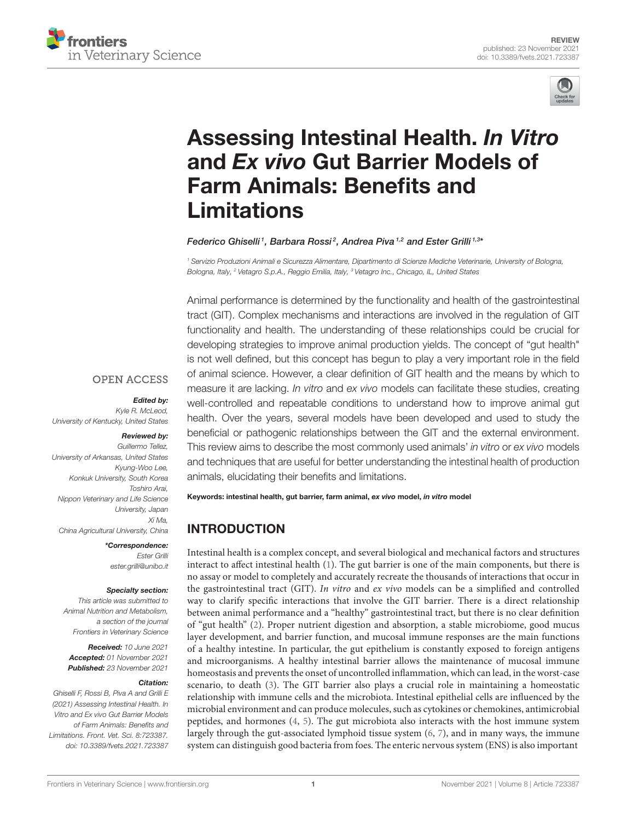



# Assessing Intestinal Health. In Vitro and Ex vivo Gut Barrier Models of [Farm Animals: Benefits and](https://www.frontiersin.org/articles/10.3389/fvets.2021.723387/full) Limitations

#### Federico Ghiselli<sup>1</sup>, Barbara Rossi<sup>2</sup>, Andrea Piva<sup>1,2</sup> and Ester Grilli<sup>1,3</sup>\*

*<sup>1</sup> Servizio Produzioni Animali e Sicurezza Alimentare, Dipartimento di Scienze Mediche Veterinarie, University of Bologna, Bologna, Italy, <sup>2</sup> Vetagro S.p.A., Reggio Emilia, Italy, <sup>3</sup> Vetagro Inc., Chicago, IL, United States*

Animal performance is determined by the functionality and health of the gastrointestinal tract (GIT). Complex mechanisms and interactions are involved in the regulation of GIT functionality and health. The understanding of these relationships could be crucial for developing strategies to improve animal production yields. The concept of "gut health" is not well defined, but this concept has begun to play a very important role in the field of animal science. However, a clear definition of GIT health and the means by which to measure it are lacking. *In vitro* and *ex vivo* models can facilitate these studies, creating well-controlled and repeatable conditions to understand how to improve animal gut health. Over the years, several models have been developed and used to study the beneficial or pathogenic relationships between the GIT and the external environment. This review aims to describe the most commonly used animals' *in vitro* or *ex vivo* models and techniques that are useful for better understanding the intestinal health of production animals, elucidating their benefits and limitations.

Keywords: intestinal health, gut barrier, farm animal, ex vivo model, in vitro model

# INTRODUCTION

Intestinal health is a complex concept, and several biological and mechanical factors and structures interact to affect intestinal health [\(1\)](#page-9-0). The gut barrier is one of the main components, but there is no assay or model to completely and accurately recreate the thousands of interactions that occur in the gastrointestinal tract (GIT). In vitro and ex vivo models can be a simplified and controlled way to clarify specific interactions that involve the GIT barrier. There is a direct relationship between animal performance and a "healthy" gastrointestinal tract, but there is no clear definition of "gut health" [\(2\)](#page-9-1). Proper nutrient digestion and absorption, a stable microbiome, good mucus layer development, and barrier function, and mucosal immune responses are the main functions of a healthy intestine. In particular, the gut epithelium is constantly exposed to foreign antigens and microorganisms. A healthy intestinal barrier allows the maintenance of mucosal immune homeostasis and prevents the onset of uncontrolled inflammation, which can lead, in the worst-case scenario, to death [\(3\)](#page-9-2). The GIT barrier also plays a crucial role in maintaining a homeostatic relationship with immune cells and the microbiota. Intestinal epithelial cells are influenced by the microbial environment and can produce molecules, such as cytokines or chemokines, antimicrobial peptides, and hormones [\(4,](#page-9-3) [5\)](#page-9-4). The gut microbiota also interacts with the host immune system largely through the gut-associated lymphoid tissue system [\(6,](#page-9-5) [7\)](#page-9-6), and in many ways, the immune system can distinguish good bacteria from foes. The enteric nervous system (ENS) is also important

#### **OPEN ACCESS**

#### Edited by:

*Kyle R. McLeod, University of Kentucky, United States*

#### Reviewed by: *Guillermo Tellez,*

*University of Arkansas, United States Kyung-Woo Lee, Konkuk University, South Korea Toshiro Arai, Nippon Veterinary and Life Science University, Japan Xi Ma, China Agricultural University, China*

> \*Correspondence: *Ester Grilli [ester.grilli@unibo.it](mailto:ester.grilli@unibo.it)*

#### Specialty section:

*This article was submitted to Animal Nutrition and Metabolism, a section of the journal Frontiers in Veterinary Science*

Received: *10 June 2021* Accepted: *01 November 2021* Published: *23 November 2021*

#### Citation:

*Ghiselli F, Rossi B, Piva A and Grilli E (2021) Assessing Intestinal Health. In Vitro and Ex vivo Gut Barrier Models of Farm Animals: Benefits and Limitations. Front. Vet. Sci. 8:723387. doi: [10.3389/fvets.2021.723387](https://doi.org/10.3389/fvets.2021.723387)*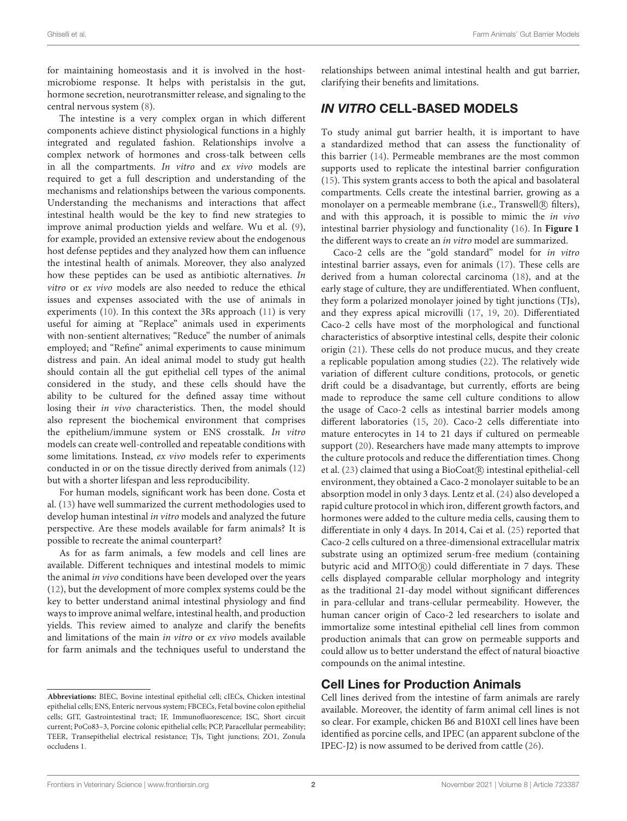for maintaining homeostasis and it is involved in the hostmicrobiome response. It helps with peristalsis in the gut, hormone secretion, neurotransmitter release, and signaling to the central nervous system [\(8\)](#page-9-7).

The intestine is a very complex organ in which different components achieve distinct physiological functions in a highly integrated and regulated fashion. Relationships involve a complex network of hormones and cross-talk between cells in all the compartments. In vitro and ex vivo models are required to get a full description and understanding of the mechanisms and relationships between the various components. Understanding the mechanisms and interactions that affect intestinal health would be the key to find new strategies to improve animal production yields and welfare. Wu et al. [\(9\)](#page-9-8), for example, provided an extensive review about the endogenous host defense peptides and they analyzed how them can influence the intestinal health of animals. Moreover, they also analyzed how these peptides can be used as antibiotic alternatives. In vitro or ex vivo models are also needed to reduce the ethical issues and expenses associated with the use of animals in experiments [\(10\)](#page-9-9). In this context the 3Rs approach [\(11\)](#page-9-10) is very useful for aiming at "Replace" animals used in experiments with non-sentient alternatives; "Reduce" the number of animals employed; and "Refine" animal experiments to cause minimum distress and pain. An ideal animal model to study gut health should contain all the gut epithelial cell types of the animal considered in the study, and these cells should have the ability to be cultured for the defined assay time without losing their in vivo characteristics. Then, the model should also represent the biochemical environment that comprises the epithelium/immune system or ENS crosstalk. In vitro models can create well-controlled and repeatable conditions with some limitations. Instead, ex vivo models refer to experiments conducted in or on the tissue directly derived from animals [\(12\)](#page-9-11) but with a shorter lifespan and less reproducibility.

For human models, significant work has been done. Costa et al. [\(13\)](#page-9-12) have well summarized the current methodologies used to develop human intestinal in vitro models and analyzed the future perspective. Are these models available for farm animals? It is possible to recreate the animal counterpart?

As for as farm animals, a few models and cell lines are available. Different techniques and intestinal models to mimic the animal in vivo conditions have been developed over the years [\(12\)](#page-9-11), but the development of more complex systems could be the key to better understand animal intestinal physiology and find ways to improve animal welfare, intestinal health, and production yields. This review aimed to analyze and clarify the benefits and limitations of the main in vitro or ex vivo models available for farm animals and the techniques useful to understand the relationships between animal intestinal health and gut barrier, clarifying their benefits and limitations.

# IN VITRO CELL-BASED MODELS

To study animal gut barrier health, it is important to have a standardized method that can assess the functionality of this barrier [\(14\)](#page-9-13). Permeable membranes are the most common supports used to replicate the intestinal barrier configuration [\(15\)](#page-9-14). This system grants access to both the apical and basolateral compartments. Cells create the intestinal barrier, growing as a monolayer on a permeable membrane (i.e., Transwell<sup>(R)</sup> filters), and with this approach, it is possible to mimic the in vivo intestinal barrier physiology and functionality [\(16\)](#page-9-15). In **[Figure 1](#page-2-0)** the different ways to create an in vitro model are summarized.

Caco-2 cells are the "gold standard" model for in vitro intestinal barrier assays, even for animals [\(17\)](#page-9-16). These cells are derived from a human colorectal carcinoma [\(18\)](#page-9-17), and at the early stage of culture, they are undifferentiated. When confluent, they form a polarized monolayer joined by tight junctions (TJs), and they express apical microvilli [\(17,](#page-9-16) [19,](#page-9-18) [20\)](#page-9-19). Differentiated Caco-2 cells have most of the morphological and functional characteristics of absorptive intestinal cells, despite their colonic origin [\(21\)](#page-9-20). These cells do not produce mucus, and they create a replicable population among studies [\(22\)](#page-9-21). The relatively wide variation of different culture conditions, protocols, or genetic drift could be a disadvantage, but currently, efforts are being made to reproduce the same cell culture conditions to allow the usage of Caco-2 cells as intestinal barrier models among different laboratories [\(15,](#page-9-14) [20\)](#page-9-19). Caco-2 cells differentiate into mature enterocytes in 14 to 21 days if cultured on permeable support [\(20\)](#page-9-19). Researchers have made many attempts to improve the culture protocols and reduce the differentiation times. Chong et al. [\(23\)](#page-9-22) claimed that using a BioCoat R intestinal epithelial-cell environment, they obtained a Caco-2 monolayer suitable to be an absorption model in only 3 days. Lentz et al. [\(24\)](#page-9-23) also developed a rapid culture protocol in which iron, different growth factors, and hormones were added to the culture media cells, causing them to differentiate in only 4 days. In 2014, Cai et al. [\(25\)](#page-9-24) reported that Caco-2 cells cultured on a three-dimensional extracellular matrix substrate using an optimized serum-free medium (containing butyric acid and MITO®) could differentiate in 7 days. These cells displayed comparable cellular morphology and integrity as the traditional 21-day model without significant differences in para-cellular and trans-cellular permeability. However, the human cancer origin of Caco-2 led researchers to isolate and immortalize some intestinal epithelial cell lines from common production animals that can grow on permeable supports and could allow us to better understand the effect of natural bioactive compounds on the animal intestine.

### Cell Lines for Production Animals

Cell lines derived from the intestine of farm animals are rarely available. Moreover, the identity of farm animal cell lines is not so clear. For example, chicken B6 and B10XI cell lines have been identified as porcine cells, and IPEC (an apparent subclone of the IPEC-J2) is now assumed to be derived from cattle [\(26\)](#page-9-25).

**Abbreviations:** BIEC, Bovine intestinal epithelial cell; cIECs, Chicken intestinal epithelial cells; ENS, Enteric nervous system; FBCECs, Fetal bovine colon epithelial cells; GIT, Gastrointestinal tract; IF, Immunofluorescence; ISC, Short circuit current; PoCo83–3, Porcine colonic epithelial cells; PCP, Paracellular permeability; TEER, Transepithelial electrical resistance; TJs, Tight junctions; ZO1, Zonula occludens 1.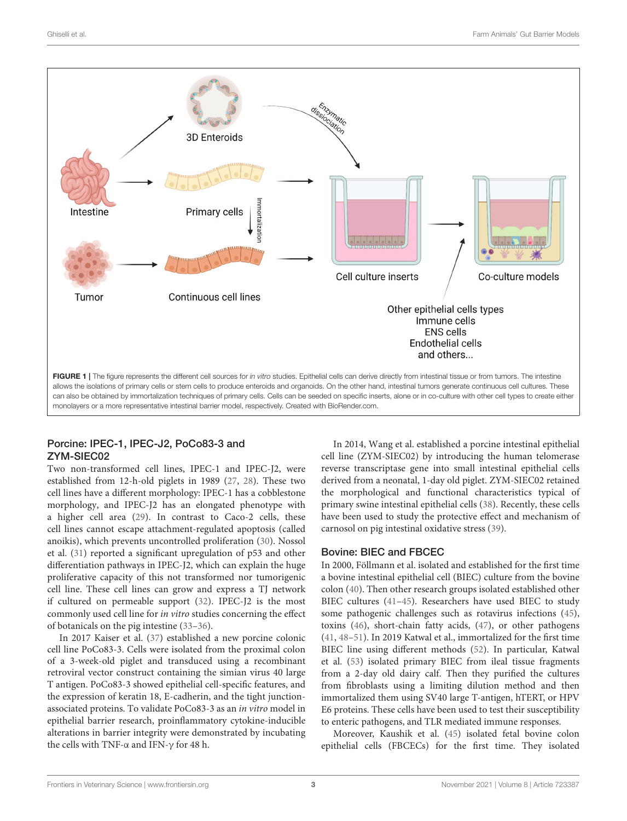

<span id="page-2-0"></span>allows the isolations of primary cells or stem cells to produce enteroids and organoids. On the other hand, intestinal tumors generate continuous cell cultures. These can also be obtained by immortalization techniques of primary cells. Cells can be seeded on specific inserts, alone or in co-culture with other cell types to create either monolayers or a more representative intestinal barrier model, respectively. Created with [BioRender.com.](https://BioRender.com)

### Porcine: IPEC-1, IPEC-J2, PoCo83-3 and ZYM-SIEC02

Two non-transformed cell lines, IPEC-1 and IPEC-J2, were established from 12-h-old piglets in 1989 [\(27,](#page-9-26) [28\)](#page-9-27). These two cell lines have a different morphology: IPEC-1 has a cobblestone morphology, and IPEC-J2 has an elongated phenotype with a higher cell area [\(29\)](#page-9-28). In contrast to Caco-2 cells, these cell lines cannot escape attachment-regulated apoptosis (called anoikis), which prevents uncontrolled proliferation [\(30\)](#page-9-29). Nossol et al. [\(31\)](#page-9-30) reported a significant upregulation of p53 and other differentiation pathways in IPEC-J2, which can explain the huge proliferative capacity of this not transformed nor tumorigenic cell line. These cell lines can grow and express a TJ network if cultured on permeable support [\(32\)](#page-9-31). IPEC-J2 is the most commonly used cell line for in vitro studies concerning the effect of botanicals on the pig intestine [\(33–](#page-9-32)[36\)](#page-9-33).

In 2017 Kaiser et al. [\(37\)](#page-9-34) established a new porcine colonic cell line PoCo83-3. Cells were isolated from the proximal colon of a 3-week-old piglet and transduced using a recombinant retroviral vector construct containing the simian virus 40 large T antigen. PoCo83-3 showed epithelial cell-specific features, and the expression of keratin 18, E-cadherin, and the tight junctionassociated proteins. To validate PoCo83-3 as an in vitro model in epithelial barrier research, proinflammatory cytokine-inducible alterations in barrier integrity were demonstrated by incubating the cells with TNF- $\alpha$  and IFN- $\gamma$  for 48 h.

In 2014, Wang et al. established a porcine intestinal epithelial cell line (ZYM-SIEC02) by introducing the human telomerase reverse transcriptase gene into small intestinal epithelial cells derived from a neonatal, 1-day old piglet. ZYM-SIEC02 retained the morphological and functional characteristics typical of primary swine intestinal epithelial cells [\(38\)](#page-9-35). Recently, these cells have been used to study the protective effect and mechanism of carnosol on pig intestinal oxidative stress [\(39\)](#page-9-36).

### Bovine: BIEC and FBCEC

In 2000, Föllmann et al. isolated and established for the first time a bovine intestinal epithelial cell (BIEC) culture from the bovine colon [\(40\)](#page-9-37). Then other research groups isolated established other BIEC cultures [\(41–](#page-10-0)[45\)](#page-10-1). Researchers have used BIEC to study some pathogenic challenges such as rotavirus infections [\(45\)](#page-10-1), toxins [\(46\)](#page-10-2), short-chain fatty acids, [\(47\)](#page-10-3), or other pathogens [\(41,](#page-10-0) [48–](#page-10-4)[51\)](#page-10-5). In 2019 Katwal et al., immortalized for the first time BIEC line using different methods [\(52\)](#page-10-6). In particular, Katwal et al. [\(53\)](#page-10-7) isolated primary BIEC from ileal tissue fragments from a 2-day old dairy calf. Then they purified the cultures from fibroblasts using a limiting dilution method and then immortalized them using SV40 large T-antigen, hTERT, or HPV E6 proteins. These cells have been used to test their susceptibility to enteric pathogens, and TLR mediated immune responses.

Moreover, Kaushik et al. [\(45\)](#page-10-1) isolated fetal bovine colon epithelial cells (FBCECs) for the first time. They isolated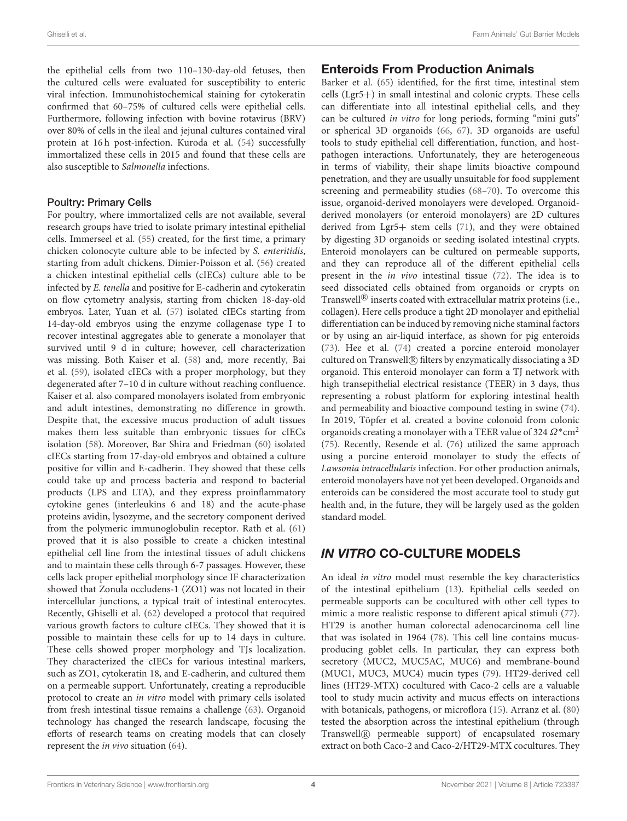the epithelial cells from two 110–130-day-old fetuses, then the cultured cells were evaluated for susceptibility to enteric viral infection. Immunohistochemical staining for cytokeratin confirmed that 60–75% of cultured cells were epithelial cells. Furthermore, following infection with bovine rotavirus (BRV) over 80% of cells in the ileal and jejunal cultures contained viral protein at 16 h post-infection. Kuroda et al. [\(54\)](#page-10-8) successfully immortalized these cells in 2015 and found that these cells are also susceptible to Salmonella infections.

#### Poultry: Primary Cells

For poultry, where immortalized cells are not available, several research groups have tried to isolate primary intestinal epithelial cells. Immerseel et al. [\(55\)](#page-10-9) created, for the first time, a primary chicken colonocyte culture able to be infected by S. enteritidis, starting from adult chickens. Dimier-Poisson et al. [\(56\)](#page-10-10) created a chicken intestinal epithelial cells (cIECs) culture able to be infected by E. tenella and positive for E-cadherin and cytokeratin on flow cytometry analysis, starting from chicken 18-day-old embryos. Later, Yuan et al. [\(57\)](#page-10-11) isolated cIECs starting from 14-day-old embryos using the enzyme collagenase type I to recover intestinal aggregates able to generate a monolayer that survived until 9 d in culture; however, cell characterization was missing. Both Kaiser et al. [\(58\)](#page-10-12) and, more recently, Bai et al. [\(59\)](#page-10-13), isolated cIECs with a proper morphology, but they degenerated after 7–10 d in culture without reaching confluence. Kaiser et al. also compared monolayers isolated from embryonic and adult intestines, demonstrating no difference in growth. Despite that, the excessive mucus production of adult tissues makes them less suitable than embryonic tissues for cIECs isolation [\(58\)](#page-10-12). Moreover, Bar Shira and Friedman [\(60\)](#page-10-14) isolated cIECs starting from 17-day-old embryos and obtained a culture positive for villin and E-cadherin. They showed that these cells could take up and process bacteria and respond to bacterial products (LPS and LTA), and they express proinflammatory cytokine genes (interleukins 6 and 18) and the acute-phase proteins avidin, lysozyme, and the secretory component derived from the polymeric immunoglobulin receptor. Rath et al. [\(61\)](#page-10-15) proved that it is also possible to create a chicken intestinal epithelial cell line from the intestinal tissues of adult chickens and to maintain these cells through 6-7 passages. However, these cells lack proper epithelial morphology since IF characterization showed that Zonula occludens-1 (ZO1) was not located in their intercellular junctions, a typical trait of intestinal enterocytes. Recently, Ghiselli et al. [\(62\)](#page-10-16) developed a protocol that required various growth factors to culture cIECs. They showed that it is possible to maintain these cells for up to 14 days in culture. These cells showed proper morphology and TJs localization. They characterized the cIECs for various intestinal markers, such as ZO1, cytokeratin 18, and E-cadherin, and cultured them on a permeable support. Unfortunately, creating a reproducible protocol to create an in vitro model with primary cells isolated from fresh intestinal tissue remains a challenge [\(63\)](#page-10-17). Organoid technology has changed the research landscape, focusing the efforts of research teams on creating models that can closely represent the in vivo situation [\(64\)](#page-10-18).

### Enteroids From Production Animals

Barker et al. [\(65\)](#page-10-19) identified, for the first time, intestinal stem cells (Lgr5+) in small intestinal and colonic crypts. These cells can differentiate into all intestinal epithelial cells, and they can be cultured in vitro for long periods, forming "mini guts" or spherical 3D organoids [\(66,](#page-10-20) [67\)](#page-10-21). 3D organoids are useful tools to study epithelial cell differentiation, function, and hostpathogen interactions. Unfortunately, they are heterogeneous in terms of viability, their shape limits bioactive compound penetration, and they are usually unsuitable for food supplement screening and permeability studies [\(68–](#page-10-22)[70\)](#page-10-23). To overcome this issue, organoid-derived monolayers were developed. Organoidderived monolayers (or enteroid monolayers) are 2D cultures derived from Lgr5+ stem cells [\(71\)](#page-10-24), and they were obtained by digesting 3D organoids or seeding isolated intestinal crypts. Enteroid monolayers can be cultured on permeable supports, and they can reproduce all of the different epithelial cells present in the in vivo intestinal tissue [\(72\)](#page-10-25). The idea is to seed dissociated cells obtained from organoids or crypts on Transwell ${}^{\circledR}$  inserts coated with extracellular matrix proteins (i.e., collagen). Here cells produce a tight 2D monolayer and epithelial differentiation can be induced by removing niche staminal factors or by using an air-liquid interface, as shown for pig enteroids [\(73\)](#page-10-26). Hee et al. [\(74\)](#page-10-27) created a porcine enteroid monolayer cultured on Transwell<sub>(R)</sub> filters by enzymatically dissociating a 3D organoid. This enteroid monolayer can form a TJ network with high transepithelial electrical resistance (TEER) in 3 days, thus representing a robust platform for exploring intestinal health and permeability and bioactive compound testing in swine [\(74\)](#page-10-27). In 2019, Töpfer et al. created a bovine colonoid from colonic organoids creating a monolayer with a TEER value of 324  $\Omega^*$ cm<sup>2</sup> [\(75\)](#page-10-28). Recently, Resende et al. [\(76\)](#page-10-29) utilized the same approach using a porcine enteroid monolayer to study the effects of Lawsonia intracellularis infection. For other production animals, enteroid monolayers have not yet been developed. Organoids and enteroids can be considered the most accurate tool to study gut health and, in the future, they will be largely used as the golden standard model.

# IN VITRO CO-CULTURE MODELS

An ideal in vitro model must resemble the key characteristics of the intestinal epithelium [\(13\)](#page-9-12). Epithelial cells seeded on permeable supports can be cocultured with other cell types to mimic a more realistic response to different apical stimuli [\(77\)](#page-10-30). HT29 is another human colorectal adenocarcinoma cell line that was isolated in 1964 [\(78\)](#page-11-0). This cell line contains mucusproducing goblet cells. In particular, they can express both secretory (MUC2, MUC5AC, MUC6) and membrane-bound (MUC1, MUC3, MUC4) mucin types [\(79\)](#page-11-1). HT29-derived cell lines (HT29-MTX) cocultured with Caco-2 cells are a valuable tool to study mucin activity and mucus effects on interactions with botanicals, pathogens, or microflora [\(15\)](#page-9-14). Arranz et al. [\(80\)](#page-11-2) tested the absorption across the intestinal epithelium (through Transwell R permeable support) of encapsulated rosemary extract on both Caco-2 and Caco-2/HT29-MTX cocultures. They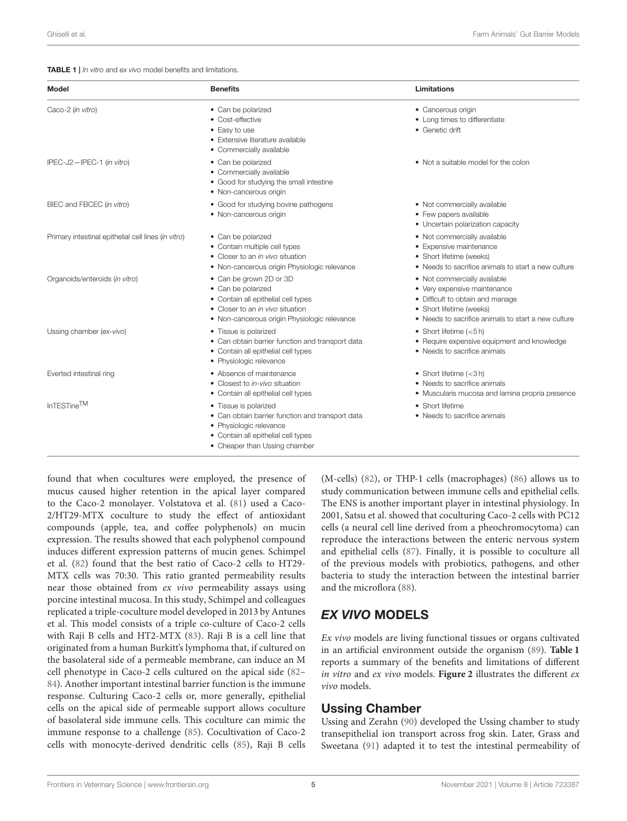<span id="page-4-0"></span>TABLE 1 | *In vitro* and *ex vivo* model benefits and limitations.

| <b>Model</b>                                        | <b>Benefits</b>                                                                                                                                                              | <b>Limitations</b>                                                                                                                                                                  |  |
|-----------------------------------------------------|------------------------------------------------------------------------------------------------------------------------------------------------------------------------------|-------------------------------------------------------------------------------------------------------------------------------------------------------------------------------------|--|
| Caco-2 (in vitro)                                   | • Can be polarized<br>• Cost-effective<br>• Easy to use<br>• Extensive literature available<br>• Commercially available                                                      | • Cancerous origin<br>• Long times to differentiate<br>• Genetic drift                                                                                                              |  |
| IPEC-J2-IPEC-1 (in vitro)                           | • Can be polarized<br>• Commercially available<br>• Good for studying the small intestine<br>• Non-cancerous origin                                                          | • Not a suitable model for the colon                                                                                                                                                |  |
| BIEC and FBCEC (in vitro)                           | • Good for studying bovine pathogens<br>• Non-cancerous origin                                                                                                               | • Not commercially available<br>• Few papers available<br>• Uncertain polarization capacity                                                                                         |  |
| Primary intestinal epithelial cell lines (in vitro) | • Can be polarized<br>• Contain multiple cell types<br>• Closer to an in vivo situation<br>• Non-cancerous origin Physiologic relevance                                      | • Not commercially available<br>• Expensive maintenance<br>• Short lifetime (weeks)<br>• Needs to sacrifice animals to start a new culture                                          |  |
| Organoids/enteroids (in vitro)                      | • Can be grown 2D or 3D<br>• Can be polarized<br>• Contain all epithelial cell types<br>• Closer to an in vivo situation<br>• Non-cancerous origin Physiologic relevance     | • Not commercially available<br>• Very expensive maintenance<br>• Difficult to obtain and manage<br>• Short lifetime (weeks)<br>• Needs to sacrifice animals to start a new culture |  |
| Ussing chamber (ex-vivo)                            | • Tissue is polarized<br>• Can obtain barrier function and transport data<br>• Contain all epithelial cell types<br>• Physiologic relevance                                  | • Short lifetime $(<5 h)$<br>• Require expensive equipment and knowledge<br>• Needs to sacrifice animals                                                                            |  |
| Everted intestinal ring                             | • Absence of maintenance<br>• Closest to in-vivo situation<br>• Contain all epithelial cell types                                                                            | • Short lifetime $(<3 h)$<br>• Needs to sacrifice animals<br>• Muscularis mucosa and lamina propria presence                                                                        |  |
| InTESTine <sup>TM</sup>                             | • Tissue is polarized<br>• Can obtain barrier function and transport data<br>• Physiologic relevance<br>• Contain all epithelial cell types<br>• Cheaper than Ussing chamber | • Short lifetime<br>• Needs to sacrifice animals                                                                                                                                    |  |

found that when cocultures were employed, the presence of mucus caused higher retention in the apical layer compared to the Caco-2 monolayer. Volstatova et al. [\(81\)](#page-11-3) used a Caco-2/HT29-MTX coculture to study the effect of antioxidant compounds (apple, tea, and coffee polyphenols) on mucin expression. The results showed that each polyphenol compound induces different expression patterns of mucin genes. Schimpel et al. [\(82\)](#page-11-4) found that the best ratio of Caco-2 cells to HT29- MTX cells was 70:30. This ratio granted permeability results near those obtained from ex vivo permeability assays using porcine intestinal mucosa. In this study, Schimpel and colleagues replicated a triple-coculture model developed in 2013 by Antunes et al. This model consists of a triple co-culture of Caco-2 cells with Raji B cells and HT2-MTX [\(83\)](#page-11-5). Raji B is a cell line that originated from a human Burkitt's lymphoma that, if cultured on the basolateral side of a permeable membrane, can induce an M cell phenotype in Caco-2 cells cultured on the apical side [\(82–](#page-11-4) [84\)](#page-11-6). Another important intestinal barrier function is the immune response. Culturing Caco-2 cells or, more generally, epithelial cells on the apical side of permeable support allows coculture of basolateral side immune cells. This coculture can mimic the immune response to a challenge [\(85\)](#page-11-7). Cocultivation of Caco-2 cells with monocyte-derived dendritic cells [\(85\)](#page-11-7), Raji B cells (M-cells) [\(82\)](#page-11-4), or THP-1 cells (macrophages) [\(86\)](#page-11-8) allows us to study communication between immune cells and epithelial cells. The ENS is another important player in intestinal physiology. In 2001, Satsu et al. showed that coculturing Caco-2 cells with PC12 cells (a neural cell line derived from a pheochromocytoma) can reproduce the interactions between the enteric nervous system and epithelial cells [\(87\)](#page-11-9). Finally, it is possible to coculture all of the previous models with probiotics, pathogens, and other bacteria to study the interaction between the intestinal barrier and the microflora [\(88\)](#page-11-10).

# EX VIVO MODELS

Ex vivo models are living functional tissues or organs cultivated in an artificial environment outside the organism [\(89\)](#page-11-11). **[Table 1](#page-4-0)** reports a summary of the benefits and limitations of different in vitro and ex vivo models. **[Figure 2](#page-5-0)** illustrates the different ex vivo models.

### Ussing Chamber

Ussing and Zerahn [\(90\)](#page-11-12) developed the Ussing chamber to study transepithelial ion transport across frog skin. Later, Grass and Sweetana [\(91\)](#page-11-13) adapted it to test the intestinal permeability of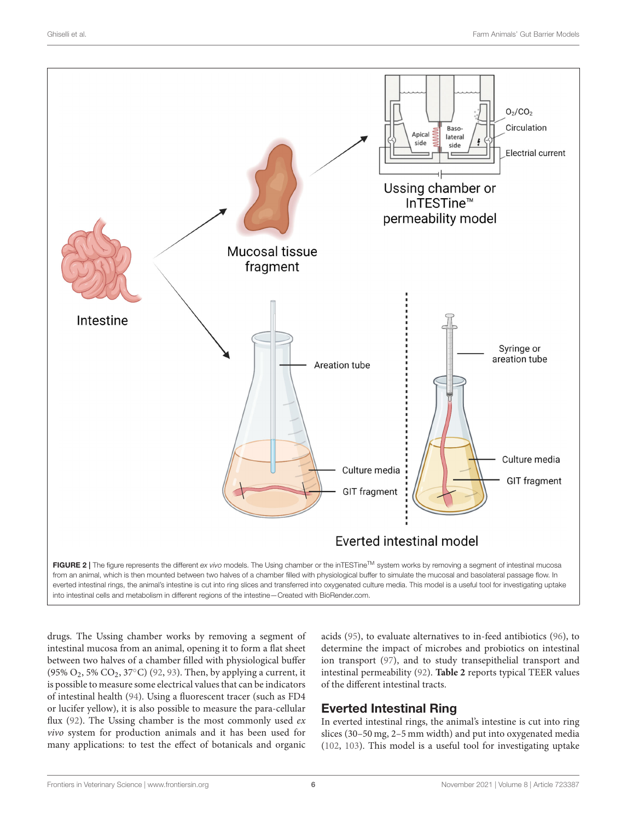

<span id="page-5-0"></span>into intestinal cells and metabolism in different regions of the intestine—Created with [BioRender.com.](https://BioRender.com)

drugs. The Ussing chamber works by removing a segment of intestinal mucosa from an animal, opening it to form a flat sheet between two halves of a chamber filled with physiological buffer (95%  $O_2$ , 5%  $CO_2$ , 37 $°C$ ) [\(92,](#page-11-14) [93\)](#page-11-15). Then, by applying a current, it is possible to measure some electrical values that can be indicators of intestinal health [\(94\)](#page-11-16). Using a fluorescent tracer (such as FD4 or lucifer yellow), it is also possible to measure the para-cellular flux [\(92\)](#page-11-14). The Ussing chamber is the most commonly used  $ex$ vivo system for production animals and it has been used for many applications: to test the effect of botanicals and organic acids [\(95\)](#page-11-17), to evaluate alternatives to in-feed antibiotics [\(96\)](#page-11-18), to determine the impact of microbes and probiotics on intestinal ion transport [\(97\)](#page-11-19), and to study transepithelial transport and intestinal permeability [\(92\)](#page-11-14). **[Table 2](#page-6-0)** reports typical TEER values of the different intestinal tracts.

# Everted Intestinal Ring

In everted intestinal rings, the animal's intestine is cut into ring slices (30–50 mg, 2–5 mm width) and put into oxygenated media [\(102,](#page-11-20) [103\)](#page-11-21). This model is a useful tool for investigating uptake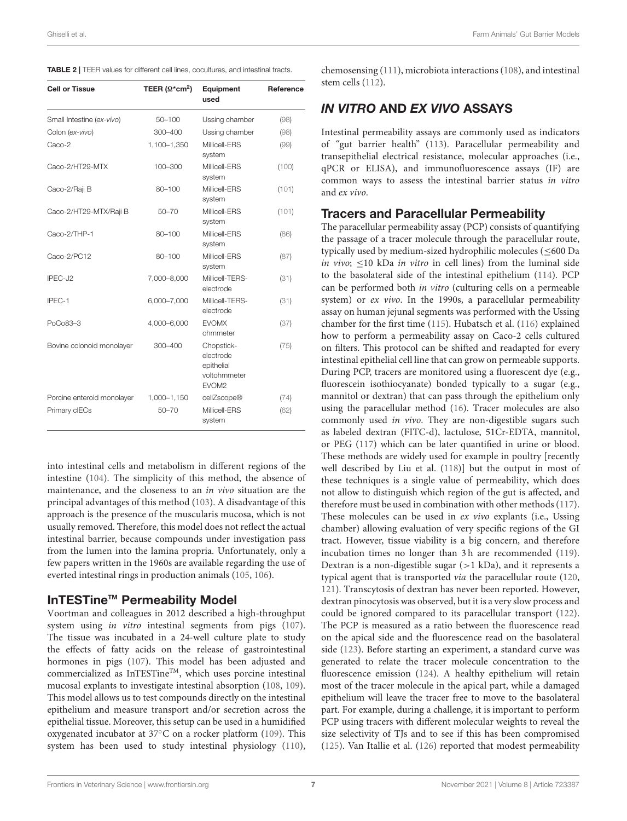<span id="page-6-0"></span>

| TABLE 2   TEER values for different cell lines, cocultures, and intestinal tracts. |  |
|------------------------------------------------------------------------------------|--|
|------------------------------------------------------------------------------------|--|

| <b>Cell or Tissue</b>      | TEER ( $\Omega^*$ cm <sup>2</sup> ) | Equipment<br>used                                                          | Reference |
|----------------------------|-------------------------------------|----------------------------------------------------------------------------|-----------|
| Small Intestine (ex-vivo)  | $50 - 100$                          | Ussing chamber                                                             | (98)      |
| Colon (ex-vivo)            | 300-400                             | Ussing chamber                                                             | (98)      |
| Caco-2                     | 1,100-1,350                         | Millicell-ERS<br>system                                                    | (99)      |
| Caco-2/HT29-MTX            | 100-300                             | Millicell-ERS<br>system                                                    | (100)     |
| Caco-2/Raji B              | $80 - 100$                          | Millicell-ERS<br>system                                                    | (101)     |
| Caco-2/HT29-MTX/Raji B     | $50 - 70$                           | Millicell-ERS<br>system                                                    | (101)     |
| Caco-2/THP-1               | 80-100                              | Millicell-ERS<br>system                                                    | (86)      |
| Caco-2/PC12                | $80 - 100$                          | Millicell-FRS<br>system                                                    | (87)      |
| IPEC-J2                    | 7,000-8,000                         | Millicell-TERS-<br>electrode                                               | (31)      |
| IPEC-1                     | 6,000-7,000                         | Millicell-TERS-<br>electrode                                               | (31)      |
| PoCo83-3                   | 4,000-6,000                         | <b>EVOMX</b><br>ohmmeter                                                   | (37)      |
| Bovine colonoid monolayer  | 300-400                             | Chopstick-<br>electrode<br>epithelial<br>voltohmmeter<br>EVOM <sub>2</sub> | (75)      |
| Porcine enteroid monolayer | 1,000-1,150                         | cellZscope®                                                                | (74)      |
| Primary clECs              | $50 - 70$                           | Millicell-ERS<br>system                                                    | (62)      |

into intestinal cells and metabolism in different regions of the intestine [\(104\)](#page-11-26). The simplicity of this method, the absence of maintenance, and the closeness to an in vivo situation are the principal advantages of this method [\(103\)](#page-11-21). A disadvantage of this approach is the presence of the muscularis mucosa, which is not usually removed. Therefore, this model does not reflect the actual intestinal barrier, because compounds under investigation pass from the lumen into the lamina propria. Unfortunately, only a few papers written in the 1960s are available regarding the use of everted intestinal rings in production animals [\(105,](#page-11-27) [106\)](#page-11-28).

#### InTESTine™ Permeability Model

Voortman and colleagues in 2012 described a high-throughput system using in vitro intestinal segments from pigs [\(107\)](#page-11-29). The tissue was incubated in a 24-well culture plate to study the effects of fatty acids on the release of gastrointestinal hormones in pigs [\(107\)](#page-11-29). This model has been adjusted and commercialized as InTESTine<sup>TM</sup>, which uses porcine intestinal mucosal explants to investigate intestinal absorption [\(108,](#page-11-30) [109\)](#page-11-31). This model allows us to test compounds directly on the intestinal epithelium and measure transport and/or secretion across the epithelial tissue. Moreover, this setup can be used in a humidified oxygenated incubator at 37◦C on a rocker platform [\(109\)](#page-11-31). This system has been used to study intestinal physiology [\(110\)](#page-11-32), chemosensing [\(111\)](#page-11-33), microbiota interactions [\(108\)](#page-11-30), and intestinal stem cells [\(112\)](#page-11-34).

# IN VITRO AND EX VIVO ASSAYS

Intestinal permeability assays are commonly used as indicators of "gut barrier health" [\(113\)](#page-11-35). Paracellular permeability and transepithelial electrical resistance, molecular approaches (i.e., qPCR or ELISA), and immunofluorescence assays (IF) are common ways to assess the intestinal barrier status in vitro and ex vivo.

### Tracers and Paracellular Permeability

The paracellular permeability assay (PCP) consists of quantifying the passage of a tracer molecule through the paracellular route, typically used by medium-sized hydrophilic molecules (≤600 Da in vivo; <10 kDa in vitro in cell lines) from the luminal side to the basolateral side of the intestinal epithelium [\(114\)](#page-11-36). PCP can be performed both in vitro (culturing cells on a permeable system) or *ex vivo*. In the 1990s, a paracellular permeability assay on human jejunal segments was performed with the Ussing chamber for the first time [\(115\)](#page-11-37). Hubatsch et al. [\(116\)](#page-12-0) explained how to perform a permeability assay on Caco-2 cells cultured on filters. This protocol can be shifted and readapted for every intestinal epithelial cell line that can grow on permeable supports. During PCP, tracers are monitored using a fluorescent dye (e.g., fluorescein isothiocyanate) bonded typically to a sugar (e.g., mannitol or dextran) that can pass through the epithelium only using the paracellular method [\(16\)](#page-9-15). Tracer molecules are also commonly used in vivo. They are non-digestible sugars such as labeled dextran (FITC-d), lactulose, 51Cr-EDTA, mannitol, or PEG [\(117\)](#page-12-1) which can be later quantified in urine or blood. These methods are widely used for example in poultry [recently well described by Liu et al. [\(118\)](#page-12-2)] but the output in most of these techniques is a single value of permeability, which does not allow to distinguish which region of the gut is affected, and therefore must be used in combination with other methods [\(117\)](#page-12-1). These molecules can be used in ex vivo explants (i.e., Ussing chamber) allowing evaluation of very specific regions of the GI tract. However, tissue viability is a big concern, and therefore incubation times no longer than 3 h are recommended [\(119\)](#page-12-3). Dextran is a non-digestible sugar  $(>1$  kDa), and it represents a typical agent that is transported via the paracellular route [\(120,](#page-12-4) [121\)](#page-12-5). Transcytosis of dextran has never been reported. However, dextran pinocytosis was observed, but it is a very slow process and could be ignored compared to its paracellular transport [\(122\)](#page-12-6). The PCP is measured as a ratio between the fluorescence read on the apical side and the fluorescence read on the basolateral side [\(123\)](#page-12-7). Before starting an experiment, a standard curve was generated to relate the tracer molecule concentration to the fluorescence emission [\(124\)](#page-12-8). A healthy epithelium will retain most of the tracer molecule in the apical part, while a damaged epithelium will leave the tracer free to move to the basolateral part. For example, during a challenge, it is important to perform PCP using tracers with different molecular weights to reveal the size selectivity of TJs and to see if this has been compromised [\(125\)](#page-12-9). Van Itallie et al. [\(126\)](#page-12-10) reported that modest permeability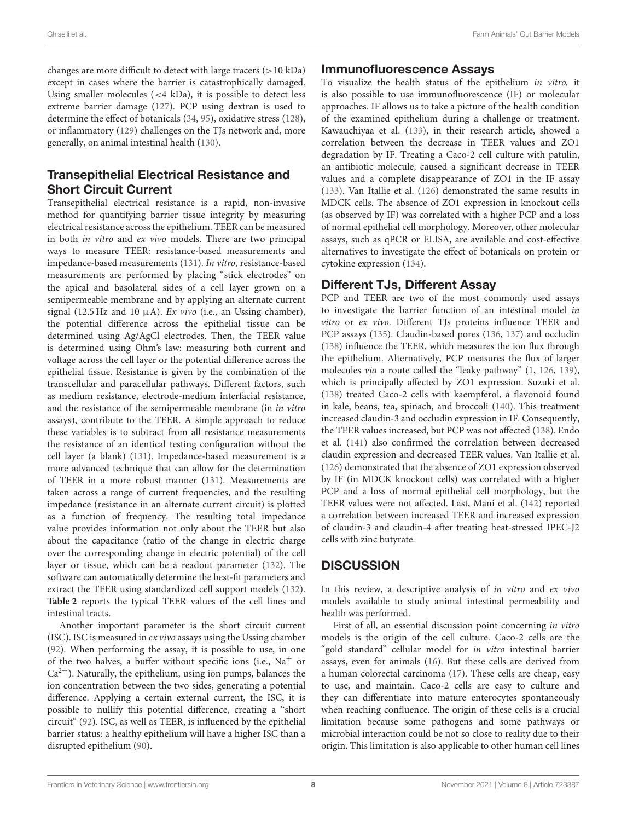changes are more difficult to detect with large tracers  $(>10 \text{ kDa})$ except in cases where the barrier is catastrophically damaged. Using smaller molecules (<4 kDa), it is possible to detect less extreme barrier damage [\(127\)](#page-12-11). PCP using dextran is used to determine the effect of botanicals [\(34,](#page-9-38) [95\)](#page-11-17), oxidative stress [\(128\)](#page-12-12), or inflammatory [\(129\)](#page-12-13) challenges on the TJs network and, more generally, on animal intestinal health [\(130\)](#page-12-14).

# Transepithelial Electrical Resistance and Short Circuit Current

Transepithelial electrical resistance is a rapid, non-invasive method for quantifying barrier tissue integrity by measuring electrical resistance across the epithelium. TEER can be measured in both in vitro and ex vivo models. There are two principal ways to measure TEER: resistance-based measurements and impedance-based measurements [\(131\)](#page-12-15). In vitro, resistance-based measurements are performed by placing "stick electrodes" on the apical and basolateral sides of a cell layer grown on a semipermeable membrane and by applying an alternate current signal (12.5 Hz and 10  $\mu$ A). Ex vivo (i.e., an Ussing chamber), the potential difference across the epithelial tissue can be determined using Ag/AgCl electrodes. Then, the TEER value is determined using Ohm's law: measuring both current and voltage across the cell layer or the potential difference across the epithelial tissue. Resistance is given by the combination of the transcellular and paracellular pathways. Different factors, such as medium resistance, electrode-medium interfacial resistance, and the resistance of the semipermeable membrane (in in vitro assays), contribute to the TEER. A simple approach to reduce these variables is to subtract from all resistance measurements the resistance of an identical testing configuration without the cell layer (a blank) [\(131\)](#page-12-15). Impedance-based measurement is a more advanced technique that can allow for the determination of TEER in a more robust manner [\(131\)](#page-12-15). Measurements are taken across a range of current frequencies, and the resulting impedance (resistance in an alternate current circuit) is plotted as a function of frequency. The resulting total impedance value provides information not only about the TEER but also about the capacitance (ratio of the change in electric charge over the corresponding change in electric potential) of the cell layer or tissue, which can be a readout parameter [\(132\)](#page-12-16). The software can automatically determine the best-fit parameters and extract the TEER using standardized cell support models [\(132\)](#page-12-16). **[Table 2](#page-6-0)** reports the typical TEER values of the cell lines and intestinal tracts.

Another important parameter is the short circuit current (ISC). ISC is measured in ex vivo assays using the Ussing chamber [\(92\)](#page-11-14). When performing the assay, it is possible to use, in one of the two halves, a buffer without specific ions (i.e.,  $Na<sup>+</sup>$  or  $Ca^{2+}$ ). Naturally, the epithelium, using ion pumps, balances the ion concentration between the two sides, generating a potential difference. Applying a certain external current, the ISC, it is possible to nullify this potential difference, creating a "short circuit" [\(92\)](#page-11-14). ISC, as well as TEER, is influenced by the epithelial barrier status: a healthy epithelium will have a higher ISC than a disrupted epithelium [\(90\)](#page-11-12).

### Immunofluorescence Assays

To visualize the health status of the epithelium in vitro, it is also possible to use immunofluorescence (IF) or molecular approaches. IF allows us to take a picture of the health condition of the examined epithelium during a challenge or treatment. Kawauchiyaa et al. [\(133\)](#page-12-17), in their research article, showed a correlation between the decrease in TEER values and ZO1 degradation by IF. Treating a Caco-2 cell culture with patulin, an antibiotic molecule, caused a significant decrease in TEER values and a complete disappearance of ZO1 in the IF assay [\(133\)](#page-12-17). Van Itallie et al. [\(126\)](#page-12-10) demonstrated the same results in MDCK cells. The absence of ZO1 expression in knockout cells (as observed by IF) was correlated with a higher PCP and a loss of normal epithelial cell morphology. Moreover, other molecular assays, such as qPCR or ELISA, are available and cost-effective alternatives to investigate the effect of botanicals on protein or cytokine expression [\(134\)](#page-12-18).

# Different TJs, Different Assay

PCP and TEER are two of the most commonly used assays to investigate the barrier function of an intestinal model in vitro or ex vivo. Different TJs proteins influence TEER and PCP assays [\(135\)](#page-12-19). Claudin-based pores [\(136,](#page-12-20) [137\)](#page-12-21) and occludin [\(138\)](#page-12-22) influence the TEER, which measures the ion flux through the epithelium. Alternatively, PCP measures the flux of larger molecules via a route called the "leaky pathway" [\(1,](#page-9-0) [126,](#page-12-10) [139\)](#page-12-23), which is principally affected by ZO1 expression. Suzuki et al. [\(138\)](#page-12-22) treated Caco-2 cells with kaempferol, a flavonoid found in kale, beans, tea, spinach, and broccoli [\(140\)](#page-12-24). This treatment increased claudin-3 and occludin expression in IF. Consequently, the TEER values increased, but PCP was not affected [\(138\)](#page-12-22). Endo et al. [\(141\)](#page-12-25) also confirmed the correlation between decreased claudin expression and decreased TEER values. Van Itallie et al. [\(126\)](#page-12-10) demonstrated that the absence of ZO1 expression observed by IF (in MDCK knockout cells) was correlated with a higher PCP and a loss of normal epithelial cell morphology, but the TEER values were not affected. Last, Mani et al. [\(142\)](#page-12-26) reported a correlation between increased TEER and increased expression of claudin-3 and claudin-4 after treating heat-stressed IPEC-J2 cells with zinc butyrate.

# **DISCUSSION**

In this review, a descriptive analysis of in vitro and ex vivo models available to study animal intestinal permeability and health was performed.

First of all, an essential discussion point concerning in vitro models is the origin of the cell culture. Caco-2 cells are the "gold standard" cellular model for in vitro intestinal barrier assays, even for animals [\(16\)](#page-9-15). But these cells are derived from a human colorectal carcinoma [\(17\)](#page-9-16). These cells are cheap, easy to use, and maintain. Caco-2 cells are easy to culture and they can differentiate into mature enterocytes spontaneously when reaching confluence. The origin of these cells is a crucial limitation because some pathogens and some pathways or microbial interaction could be not so close to reality due to their origin. This limitation is also applicable to other human cell lines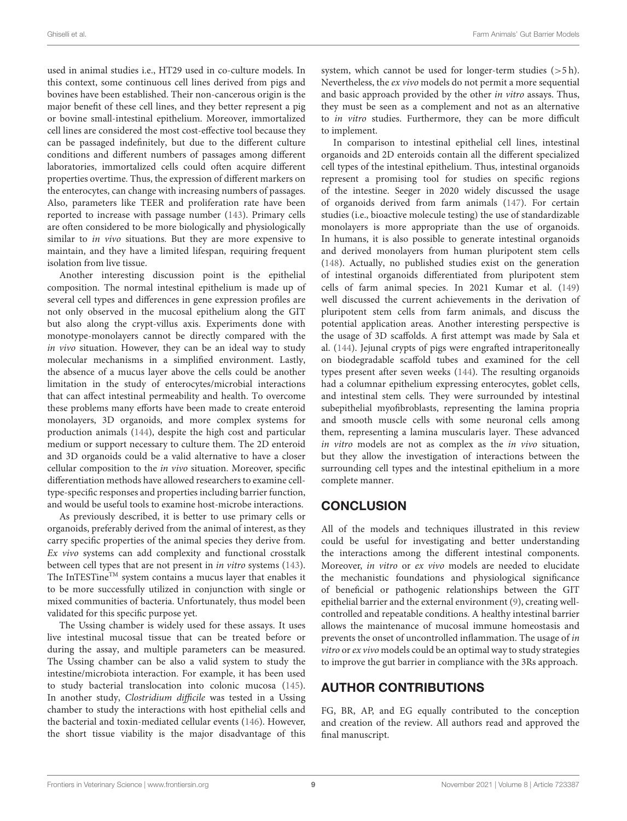used in animal studies i.e., HT29 used in co-culture models. In this context, some continuous cell lines derived from pigs and bovines have been established. Their non-cancerous origin is the major benefit of these cell lines, and they better represent a pig or bovine small-intestinal epithelium. Moreover, immortalized cell lines are considered the most cost-effective tool because they can be passaged indefinitely, but due to the different culture conditions and different numbers of passages among different laboratories, immortalized cells could often acquire different properties overtime. Thus, the expression of different markers on the enterocytes, can change with increasing numbers of passages. Also, parameters like TEER and proliferation rate have been reported to increase with passage number [\(143\)](#page-12-27). Primary cells are often considered to be more biologically and physiologically similar to in vivo situations. But they are more expensive to maintain, and they have a limited lifespan, requiring frequent isolation from live tissue.

Another interesting discussion point is the epithelial composition. The normal intestinal epithelium is made up of several cell types and differences in gene expression profiles are not only observed in the mucosal epithelium along the GIT but also along the crypt-villus axis. Experiments done with monotype-monolayers cannot be directly compared with the in vivo situation. However, they can be an ideal way to study molecular mechanisms in a simplified environment. Lastly, the absence of a mucus layer above the cells could be another limitation in the study of enterocytes/microbial interactions that can affect intestinal permeability and health. To overcome these problems many efforts have been made to create enteroid monolayers, 3D organoids, and more complex systems for production animals [\(144\)](#page-12-28), despite the high cost and particular medium or support necessary to culture them. The 2D enteroid and 3D organoids could be a valid alternative to have a closer cellular composition to the in vivo situation. Moreover, specific differentiation methods have allowed researchers to examine celltype-specific responses and properties including barrier function, and would be useful tools to examine host-microbe interactions.

As previously described, it is better to use primary cells or organoids, preferably derived from the animal of interest, as they carry specific properties of the animal species they derive from. Ex vivo systems can add complexity and functional crosstalk between cell types that are not present in in vitro systems [\(143\)](#page-12-27). The InTESTineTM system contains a mucus layer that enables it to be more successfully utilized in conjunction with single or mixed communities of bacteria. Unfortunately, thus model been validated for this specific purpose yet.

The Ussing chamber is widely used for these assays. It uses live intestinal mucosal tissue that can be treated before or during the assay, and multiple parameters can be measured. The Ussing chamber can be also a valid system to study the intestine/microbiota interaction. For example, it has been used to study bacterial translocation into colonic mucosa [\(145\)](#page-12-29). In another study, Clostridium difficile was tested in a Ussing chamber to study the interactions with host epithelial cells and the bacterial and toxin-mediated cellular events [\(146\)](#page-12-30). However, the short tissue viability is the major disadvantage of this system, which cannot be used for longer-term studies  $(55 h)$ . Nevertheless, the ex vivo models do not permit a more sequential and basic approach provided by the other in vitro assays. Thus, they must be seen as a complement and not as an alternative to in vitro studies. Furthermore, they can be more difficult to implement.

In comparison to intestinal epithelial cell lines, intestinal organoids and 2D enteroids contain all the different specialized cell types of the intestinal epithelium. Thus, intestinal organoids represent a promising tool for studies on specific regions of the intestine. Seeger in 2020 widely discussed the usage of organoids derived from farm animals [\(147\)](#page-12-31). For certain studies (i.e., bioactive molecule testing) the use of standardizable monolayers is more appropriate than the use of organoids. In humans, it is also possible to generate intestinal organoids and derived monolayers from human pluripotent stem cells [\(148\)](#page-12-32). Actually, no published studies exist on the generation of intestinal organoids differentiated from pluripotent stem cells of farm animal species. In 2021 Kumar et al. [\(149\)](#page-12-33) well discussed the current achievements in the derivation of pluripotent stem cells from farm animals, and discuss the potential application areas. Another interesting perspective is the usage of 3D scaffolds. A first attempt was made by Sala et al. [\(144\)](#page-12-28). Jejunal crypts of pigs were engrafted intraperitoneally on biodegradable scaffold tubes and examined for the cell types present after seven weeks [\(144\)](#page-12-28). The resulting organoids had a columnar epithelium expressing enterocytes, goblet cells, and intestinal stem cells. They were surrounded by intestinal subepithelial myofibroblasts, representing the lamina propria and smooth muscle cells with some neuronal cells among them, representing a lamina muscularis layer. These advanced in vitro models are not as complex as the in vivo situation, but they allow the investigation of interactions between the surrounding cell types and the intestinal epithelium in a more complete manner.

# **CONCLUSION**

All of the models and techniques illustrated in this review could be useful for investigating and better understanding the interactions among the different intestinal components. Moreover, in vitro or ex vivo models are needed to elucidate the mechanistic foundations and physiological significance of beneficial or pathogenic relationships between the GIT epithelial barrier and the external environment [\(9\)](#page-9-8), creating wellcontrolled and repeatable conditions. A healthy intestinal barrier allows the maintenance of mucosal immune homeostasis and prevents the onset of uncontrolled inflammation. The usage of in vitro or ex vivo models could be an optimal way to study strategies to improve the gut barrier in compliance with the 3Rs approach.

# AUTHOR CONTRIBUTIONS

FG, BR, AP, and EG equally contributed to the conception and creation of the review. All authors read and approved the final manuscript.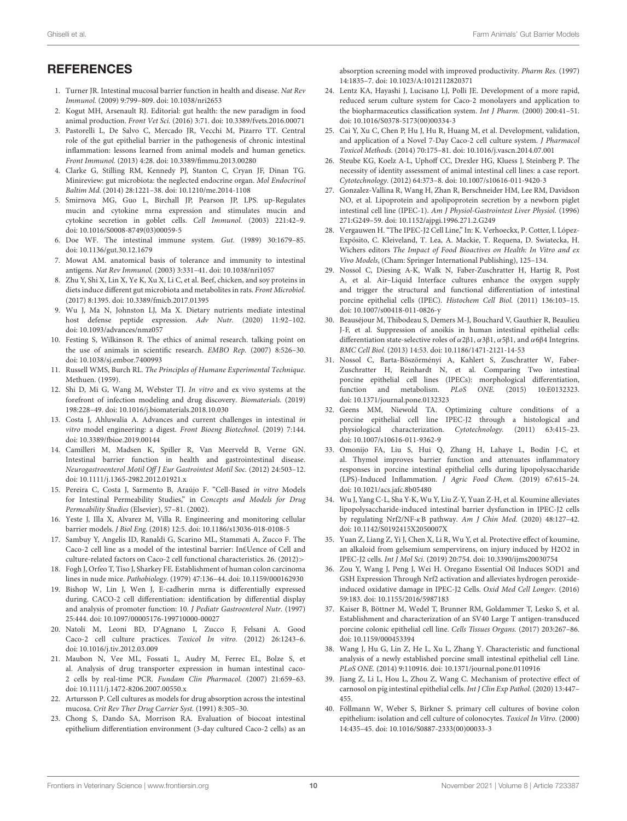### **REFERENCES**

- <span id="page-9-0"></span>1. Turner JR. Intestinal mucosal barrier function in health and disease. Nat Rev Immunol. (2009) 9:799–809. doi: [10.1038/nri2653](https://doi.org/10.1038/nri2653)
- <span id="page-9-1"></span>2. Kogut MH, Arsenault RJ. Editorial: gut health: the new paradigm in food animal production. Front Vet Sci. (2016) 3:71. doi: [10.3389/fvets.2016.00071](https://doi.org/10.3389/fvets.2016.00071)
- <span id="page-9-2"></span>3. Pastorelli L, De Salvo C, Mercado JR, Vecchi M, Pizarro TT. Central role of the gut epithelial barrier in the pathogenesis of chronic intestinal inflammation: lessons learned from animal models and human genetics. Front Immunol. (2013) 4:28. doi: [10.3389/fimmu.2013.00280](https://doi.org/10.3389/fimmu.2013.00280)
- <span id="page-9-3"></span>4. Clarke G, Stilling RM, Kennedy PJ, Stanton C, Cryan JF, Dinan TG. Minireview: gut microbiota: the neglected endocrine organ. Mol Endocrinol Baltim Md. (2014) 28:1221–38. doi: [10.1210/me.2014-1108](https://doi.org/10.1210/me.2014-1108)
- <span id="page-9-4"></span>5. Smirnova MG, Guo L, Birchall JP, Pearson JP, LPS. up-Regulates mucin and cytokine mrna expression and stimulates mucin and cytokine secretion in goblet cells. Cell Immunol. (2003) 221:42–9. doi: [10.1016/S0008-8749\(03\)00059-5](https://doi.org/10.1016/S0008-8749(03)00059-5)
- <span id="page-9-5"></span>6. Doe WF. The intestinal immune system. Gut. (1989) 30:1679–85. doi: [10.1136/gut.30.12.1679](https://doi.org/10.1136/gut.30.12.1679)
- <span id="page-9-6"></span>7. Mowat AM. anatomical basis of tolerance and immunity to intestinal antigens. Nat Rev Immunol. (2003) 3:331–41. doi: [10.1038/nri1057](https://doi.org/10.1038/nri1057)
- <span id="page-9-7"></span>8. Zhu Y, Shi X, Lin X, Ye K, Xu X, Li C, et al. Beef, chicken, and soy proteins in diets induce different gut microbiota and metabolites in rats. Front Microbiol. (2017) 8:1395. doi: [10.3389/fmicb.2017.01395](https://doi.org/10.3389/fmicb.2017.01395)
- <span id="page-9-8"></span>9. Wu J, Ma N, Johnston LJ, Ma X. Dietary nutrients mediate intestinal host defense peptide expression. Adv Nutr. (2020) 11:92–102. doi: [10.1093/advances/nmz057](https://doi.org/10.1093/advances/nmz057)
- <span id="page-9-9"></span>10. Festing S, Wilkinson R. The ethics of animal research. talking point on the use of animals in scientific research. EMBO Rep. (2007) 8:526–30. doi: [10.1038/sj.embor.7400993](https://doi.org/10.1038/sj.embor.7400993)
- <span id="page-9-10"></span>11. Russell WMS, Burch RL. The Principles of Humane Experimental Technique. Methuen. (1959).
- <span id="page-9-11"></span>12. Shi D, Mi G, Wang M, Webster TJ. In vitro and ex vivo systems at the forefront of infection modeling and drug discovery. Biomaterials. (2019) 198:228–49. doi: [10.1016/j.biomaterials.2018.10.030](https://doi.org/10.1016/j.biomaterials.2018.10.030)
- <span id="page-9-12"></span>13. Costa J, Ahluwalia A. Advances and current challenges in intestinal in vitro model engineering: a digest. Front Bioeng Biotechnol. (2019) 7:144. doi: [10.3389/fbioe.2019.00144](https://doi.org/10.3389/fbioe.2019.00144)
- <span id="page-9-13"></span>14. Camilleri M, Madsen K, Spiller R, Van Meerveld B, Verne GN. Intestinal barrier function in health and gastrointestinal disease. Neurogastroenterol Motil Off J Eur Gastrointest Motil Soc. (2012) 24:503–12. doi: [10.1111/j.1365-2982.2012.01921.x](https://doi.org/10.1111/j.1365-2982.2012.01921.x)
- <span id="page-9-14"></span>15. Pereira C, Costa J, Sarmento B, Araújo F. "Cell-Based in vitro Models for Intestinal Permeability Studies," in Concepts and Models for Drug Permeability Studies (Elsevier), 57–81. (2002).
- <span id="page-9-15"></span>16. Yeste J, Illa X, Alvarez M, Villa R. Engineering and monitoring cellular barrier models. J Biol Eng. (2018) 12:5. doi: [10.1186/s13036-018-0108-5](https://doi.org/10.1186/s13036-018-0108-5)
- <span id="page-9-16"></span>17. Sambuy Y, Angelis ID, Ranaldi G, Scarino ML, Stammati A, Zucco F. The Caco-2 cell line as a model of the intestinal barrier: In£Uence of Cell and culture-related factors on Caco-2 cell functional characteristics. 26. (2012)>
- <span id="page-9-17"></span>18. Fogh J, Orfeo T, Tiso J, Sharkey FE. Establishment of human colon carcinoma lines in nude mice. Pathobiology. (1979) 47:136–44. doi: [10.1159/000162930](https://doi.org/10.1159/000162930)
- <span id="page-9-18"></span>19. Bishop W, Lin J, Wen J, E-cadherin mrna is differentially expressed during. CACO-2 cell differentiation: identification by differential display and analysis of promoter function: 10. J Pediatr Gastroenterol Nutr. (1997) 25:444. doi: [10.1097/00005176-199710000-00027](https://doi.org/10.1097/00005176-199710000-00027)
- <span id="page-9-19"></span>20. Natoli M, Leoni BD, D'Agnano I, Zucco F, Felsani A. Good Caco-2 cell culture practices. Toxicol In vitro. (2012) 26:1243–6. doi: [10.1016/j.tiv.2012.03.009](https://doi.org/10.1016/j.tiv.2012.03.009)
- <span id="page-9-20"></span>21. Maubon N, Vee ML, Fossati L, Audry M, Ferrec EL, Bolze S, et al. Analysis of drug transporter expression in human intestinal caco-2 cells by real-time PCR. Fundam Clin Pharmacol. (2007) 21:659–63. doi: [10.1111/j.1472-8206.2007.00550.x](https://doi.org/10.1111/j.1472-8206.2007.00550.x)
- <span id="page-9-21"></span>22. Artursson P. Cell cultures as models for drug absorption across the intestinal mucosa. Crit Rev Ther Drug Carrier Syst. (1991) 8:305–30.
- <span id="page-9-22"></span>23. Chong S, Dando SA, Morrison RA. Evaluation of biocoat intestinal epithelium differentiation environment (3-day cultured Caco-2 cells) as an

absorption screening model with improved productivity. Pharm Res. (1997) 14:1835–7. doi: [10.1023/A:1012112820371](https://doi.org/10.1023/A:1012112820371)

- <span id="page-9-23"></span>24. Lentz KA, Hayashi J, Lucisano LJ, Polli JE. Development of a more rapid, reduced serum culture system for Caco-2 monolayers and application to the biopharmaceutics classification system. Int J Pharm. (2000) 200:41–51. doi: [10.1016/S0378-5173\(00\)00334-3](https://doi.org/10.1016/S0378-5173(00)00334-3)
- <span id="page-9-24"></span>25. Cai Y, Xu C, Chen P, Hu J, Hu R, Huang M, et al. Development, validation, and application of a Novel 7-Day Caco-2 cell culture system. J Pharmacol Toxicol Methods. (2014) 70:175–81. doi: [10.1016/j.vascn.2014.07.001](https://doi.org/10.1016/j.vascn.2014.07.001)
- <span id="page-9-25"></span>26. Steube KG, Koelz A-L, Uphoff CC, Drexler HG, Kluess J, Steinberg P. The necessity of identity assessment of animal intestinal cell lines: a case report. Cytotechnology. (2012) 64:373–8. doi: [10.1007/s10616-011-9420-3](https://doi.org/10.1007/s10616-011-9420-3)
- <span id="page-9-26"></span>27. Gonzalez-Vallina R, Wang H, Zhan R, Berschneider HM, Lee RM, Davidson NO, et al. Lipoprotein and apolipoprotein secretion by a newborn piglet intestinal cell line (IPEC-1). Am J Physiol-Gastrointest Liver Physiol. (1996) 271:G249–59. doi: [10.1152/ajpgi.1996.271.2.G249](https://doi.org/10.1152/ajpgi.1996.271.2.G249)
- <span id="page-9-27"></span>28. Vergauwen H. "The IPEC-J2 Cell Line," In: K. Verhoeckx, P. Cotter, I. López-Expósito, C. Kleiveland, T. Lea, A. Mackie, T. Requena, D. Swiatecka, H. Wichers editors The Impact of Food Bioactives on Health: In Vitro and ex Vivo Models, (Cham: Springer International Publishing), 125–134.
- <span id="page-9-28"></span>29. Nossol C, Diesing A-K, Walk N, Faber-Zuschratter H, Hartig R, Post A, et al. Air–Liquid Interface cultures enhance the oxygen supply and trigger the structural and functional differentiation of intestinal porcine epithelial cells (IPEC). Histochem Cell Biol. (2011) 136:103–15. doi: [10.1007/s00418-011-0826-y](https://doi.org/10.1007/s00418-011-0826-y)
- <span id="page-9-29"></span>30. Beauséjour M, Thibodeau S, Demers M-J, Bouchard V, Gauthier R, Beaulieu J-F, et al. Suppression of anoikis in human intestinal epithelial cells: differentiation state-selective roles of  $\alpha$ 2β1,  $\alpha$ 3β1,  $\alpha$ 5β1, and  $\alpha$ 6β4 Integrins. BMC Cell Biol. (2013) 14:53. doi: [10.1186/1471-2121-14-53](https://doi.org/10.1186/1471-2121-14-53)
- <span id="page-9-30"></span>31. Nossol C, Barta-Böszörményi A, Kahlert S, Zuschratter W, Faber-Zuschratter H, Reinhardt N, et al. Comparing Two intestinal porcine epithelial cell lines (IPECs): morphological differentiation, function and metabolism. PLoS ONE. (2015) 10:E0132323. doi: [10.1371/journal.pone.0132323](https://doi.org/10.1371/journal.pone.0132323)
- <span id="page-9-31"></span>32. Geens MM, Niewold TA. Optimizing culture conditions of a porcine epithelial cell line IPEC-J2 through a histological and physiological characterization. Cytotechnology. (2011) 63:415–23. doi: [10.1007/s10616-011-9362-9](https://doi.org/10.1007/s10616-011-9362-9)
- <span id="page-9-32"></span>33. Omonijo FA, Liu S, Hui Q, Zhang H, Lahaye L, Bodin J-C, et al. Thymol improves barrier function and attenuates inflammatory responses in porcine intestinal epithelial cells during lipopolysaccharide (LPS)-Induced Inflammation. J Agric Food Chem. (2019) 67:615–24. doi: [10.1021/acs.jafc.8b05480](https://doi.org/10.1021/acs.jafc.8b05480)
- <span id="page-9-38"></span>34. Wu J, Yang C-L, Sha Y-K, Wu Y, Liu Z-Y, Yuan Z-H, et al. Koumine alleviates lipopolysaccharide-induced intestinal barrier dysfunction in IPEC-J2 cells by regulating Nrf2/NF-κB pathway. Am J Chin Med. (2020) 48:127–42. doi: [10.1142/S0192415X2050007X](https://doi.org/10.1142/S0192415X2050007X)
- 35. Yuan Z, Liang Z, Yi J, Chen X, Li R, Wu Y, et al. Protective effect of koumine, an alkaloid from gelsemium sempervirens, on injury induced by H2O2 in IPEC-J2 cells. Int J Mol Sci. (2019) 20:754. doi: [10.3390/ijms20030754](https://doi.org/10.3390/ijms20030754)
- <span id="page-9-33"></span>36. Zou Y, Wang J, Peng J, Wei H. Oregano Essential Oil Induces SOD1 and GSH Expression Through Nrf2 activation and alleviates hydrogen peroxideinduced oxidative damage in IPEC-J2 Cells. Oxid Med Cell Longev. (2016) 59:183. doi: [10.1155/2016/5987183](https://doi.org/10.1155/2016/5987183)
- <span id="page-9-34"></span>37. Kaiser B, Böttner M, Wedel T, Brunner RM, Goldammer T, Lesko S, et al. Establishment and characterization of an SV40 Large T antigen-transduced porcine colonic epithelial cell line. Cells Tissues Organs. (2017) 203:267–86. doi: [10.1159/000453394](https://doi.org/10.1159/000453394)
- <span id="page-9-35"></span>38. Wang J, Hu G, Lin Z, He L, Xu L, Zhang Y. Characteristic and functional analysis of a newly established porcine small intestinal epithelial cell Line. PLoS ONE. (2014) 9:110916. doi: [10.1371/journal.pone.0110916](https://doi.org/10.1371/journal.pone.0110916)
- <span id="page-9-36"></span>39. Jiang Z, Li L, Hou L, Zhou Z, Wang C. Mechanism of protective effect of carnosol on pig intestinal epithelial cells. Int J Clin Exp Pathol. (2020) 13:447– 455.
- <span id="page-9-37"></span>40. Föllmann W, Weber S, Birkner S. primary cell cultures of bovine colon epithelium: isolation and cell culture of colonocytes. Toxicol In Vitro. (2000) 14:435–45. doi: [10.1016/S0887-2333\(00\)00033-3](https://doi.org/10.1016/S0887-2333(00)00033-3)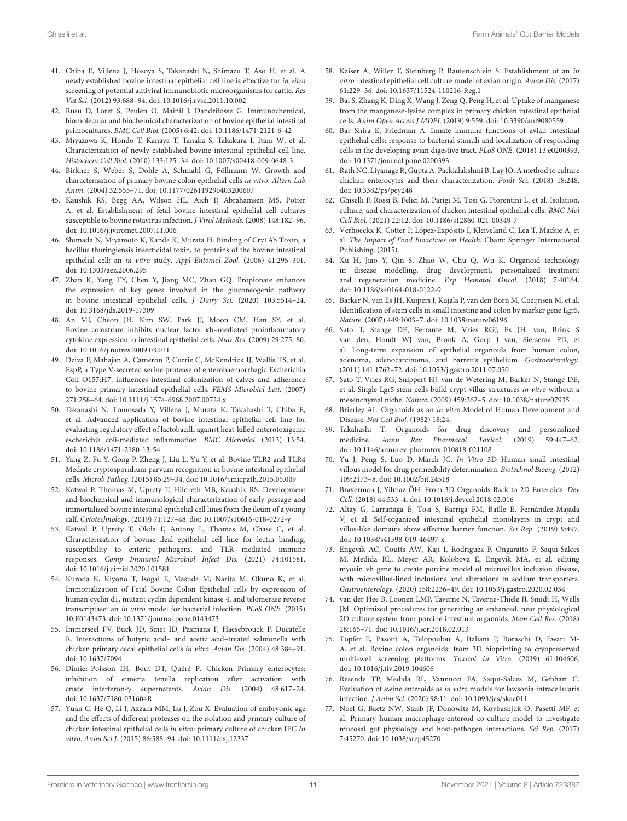- <span id="page-10-0"></span>41. Chiba E, Villena J, Hosoya S, Takanashi N, Shimazu T, Aso H, et al. A newly established bovine intestinal epithelial cell line is effective for in vitro screening of potential antiviral immunobiotic microorganisms for cattle. Res Vet Sci. (2012) 93:688–94. doi: [10.1016/j.rvsc.2011.10.002](https://doi.org/10.1016/j.rvsc.2011.10.002)
- 42. Rusu D, Loret S, Peulen O, Mainil J, Dandrifosse G. Immunochemical, biomolecular and biochemical characterization of bovine epithelial intestinal primocultures. BMC Cell Biol. (2005) 6:42. doi: [10.1186/1471-2121-6-42](https://doi.org/10.1186/1471-2121-6-42)
- 43. Miyazawa K, Hondo T, Kanaya T, Tanaka S, Takakura I, Itani W, et al. Characterization of newly established bovine intestinal epithelial cell line. Histochem Cell Biol. (2010) 133:125–34. doi: [10.1007/s00418-009-0648-3](https://doi.org/10.1007/s00418-009-0648-3)
- 44. Birkner S, Weber S, Dohle A, Schmahl G, Föllmann W. Growth and characterisation of primary bovine colon epithelial cells in vitro. Altern Lab Anim. (2004) 32:555–71. doi: [10.1177/026119290403200607](https://doi.org/10.1177/026119290403200607)
- <span id="page-10-1"></span>45. Kaushik RS, Begg AA, Wilson HL, Aich P, Abrahamsen MS, Potter A, et al. Establishment of fetal bovine intestinal epithelial cell cultures susceptible to bovine rotavirus infection. J Virol Methods. (2008) 148:182–96. doi: [10.1016/j.jviromet.2007.11.006](https://doi.org/10.1016/j.jviromet.2007.11.006)
- <span id="page-10-2"></span>46. Shimada N, Miyamoto K, Kanda K, Murata H. Binding of Cry1Ab Toxin, a bacillus thuringiensis insecticidal toxin, to proteins of the bovine intestinal epithelial cell: an in vitro study. Appl Entomol Zool. (2006) 41:295–301. doi: [10.1303/aez.2006.295](https://doi.org/10.1303/aez.2006.295)
- <span id="page-10-3"></span>47. Zhan K, Yang TY, Chen Y, Jiang MC, Zhao GQ. Propionate enhances the expression of key genes involved in the gluconeogenic pathway in bovine intestinal epithelial cells. J Dairy Sci. (2020) 103:5514–24. doi: [10.3168/jds.2019-17309](https://doi.org/10.3168/jds.2019-17309)
- <span id="page-10-4"></span>48. An MJ, Cheon JH, Kim SW, Park JJ, Moon CM, Han SY, et al. Bovine colostrum inhibits nuclear factor κb–mediated proinflammatory cytokine expression in intestinal epithelial cells. Nutr Res. (2009) 29:275–80. doi: [10.1016/j.nutres.2009.03.011](https://doi.org/10.1016/j.nutres.2009.03.011)
- 49. Dziva F, Mahajan A, Cameron P, Currie C, McKendrick IJ, Wallis TS, et al. EspP, a Type V-secreted serine protease of enterohaemorrhagic Escherichia Coli O157:H7, influences intestinal colonization of calves and adherence to bovine primary intestinal epithelial cells. FEMS Microbiol Lett. (2007) 271:258–64. doi: [10.1111/j.1574-6968.2007.00724.x](https://doi.org/10.1111/j.1574-6968.2007.00724.x)
- 50. Takanashi N, Tomosada Y, Villena J, Murata K, Takahashi T, Chiba E, et al. Advanced application of bovine intestinal epithelial cell line for evaluating regulatory effect of lactobacilli against heat-killed enterotoxigenic escherichia coli-mediated inflammation. BMC Microbiol. (2013) 13:54. doi: [10.1186/1471-2180-13-54](https://doi.org/10.1186/1471-2180-13-54)
- <span id="page-10-5"></span>51. Yang Z, Fu Y, Gong P, Zheng J, Liu L, Yu Y, et al. Bovine TLR2 and TLR4 Mediate cryptosporidium parvum recognition in bovine intestinal epithelial cells. Microb Pathog. (2015) 85:29–34. doi: [10.1016/j.micpath.2015.05.009](https://doi.org/10.1016/j.micpath.2015.05.009)
- <span id="page-10-6"></span>52. Katwal P, Thomas M, Uprety T, Hildreth MB, Kaushik RS. Development and biochemical and immunological characterization of early passage and immortalized bovine intestinal epithelial cell lines from the ileum of a young calf. Cytotechnology. (2019) 71:127–48. doi: [10.1007/s10616-018-0272-y](https://doi.org/10.1007/s10616-018-0272-y)
- <span id="page-10-7"></span>53. Katwal P, Uprety T, Okda F, Antony L, Thomas M, Chase C, et al. Characterization of bovine ileal epithelial cell line for lectin binding, susceptibility to enteric pathogens, and TLR mediated immune responses. Comp Immunol Microbiol Infect Dis. (2021) 74:101581. doi: [10.1016/j.cimid.2020.101581](https://doi.org/10.1016/j.cimid.2020.101581)
- <span id="page-10-8"></span>54. Kuroda K, Kiyono T, Isogai E, Masuda M, Narita M, Okuno K, et al. Immortalization of Fetal Bovine Colon Epithelial cells by expression of human cyclin d1, mutant cyclin dependent kinase 4, and telomerase reverse transcriptase: an in vitro model for bacterial infection. PLoS ONE. (2015) 10:E0143473. doi: [10.1371/journal.pone.0143473](https://doi.org/10.1371/journal.pone.0143473)
- <span id="page-10-9"></span>55. Immerseel FV, Buck JD, Smet ID, Pasmans F, Haesebrouck F, Ducatelle R. Interactions of butyric acid– and acetic acid–treated salmonella with chicken primary cecal epithelial cells in vitro. Avian Dis. (2004) 48:384–91. doi: [10.1637/7094](https://doi.org/10.1637/7094)
- <span id="page-10-10"></span>56. Dimier-Poisson IH, Bout DT, Quéré P. Chicken Primary enterocytes: inhibition of eimeria tenella replication after activation with crude interferon-γ supernatants. Avian Dis. (2004) 48:617–24. doi: [10.1637/7180-031604R](https://doi.org/10.1637/7180-031604R)
- <span id="page-10-11"></span>57. Yuan C, He Q, Li J, Azzam MM, Lu J, Zou X. Evaluation of embryonic age and the effects of different proteases on the isolation and primary culture of chicken intestinal epithelial cells in vitro: primary culture of chicken IEC In vitro. Anim Sci J. (2015) 86:588–94. doi: [10.1111/asj.12337](https://doi.org/10.1111/asj.12337)
- <span id="page-10-12"></span>58. Kaiser A, Willer T, Steinberg P, Rautenschlein S. Establishment of an in vitro intestinal epithelial cell culture model of avian origin. Avian Dis. (2017) 61:229–36. doi: [10.1637/11524-110216-Reg.1](https://doi.org/10.1637/11524-110216-Reg.1)
- <span id="page-10-13"></span>59. Bai S, Zhang K, Ding X, Wang J, Zeng Q, Peng H, et al. Uptake of manganese from the manganese-lysine complex in primary chicken intestinal epithelial cells. Anim Open Access J MDPI. (2019) 9:559. doi: [10.3390/ani9080559](https://doi.org/10.3390/ani9080559)
- <span id="page-10-14"></span>60. Bar Shira E, Friedman A. Innate immune functions of avian intestinal epithelial cells: response to bacterial stimuli and localization of responding cells in the developing avian digestive tract. PLoS ONE. (2018) 13:e0200393. doi: [10.1371/journal.pone.0200393](https://doi.org/10.1371/journal.pone.0200393)
- <span id="page-10-15"></span>61. Rath NC, Liyanage R, Gupta A, Packialakshmi B, Lay JO. A method to culture chicken enterocytes and their characterization. Poult Sci. (2018) 18:248. doi: [10.3382/ps/pey248](https://doi.org/10.3382/ps/pey248)
- <span id="page-10-16"></span>62. Ghiselli F, Rossi B, Felici M, Parigi M, Tosi G, Fiorentini L, et al. Isolation, culture, and characterization of chicken intestinal epithelial cells. BMC Mol Cell Biol. (2021) 22:12. doi: [10.1186/s12860-021-00349-7](https://doi.org/10.1186/s12860-021-00349-7)
- <span id="page-10-17"></span>63. Verhoeckx K, Cotter P, López-Expósito I, Kleiveland C, Lea T, Mackie A, et al. The Impact of Food Bioactives on Health. Cham: Springer International Publishing. (2015).
- <span id="page-10-18"></span>64. Xu H, Jiao Y, Qin S, Zhao W, Chu Q, Wu K. Organoid technology in disease modelling, drug development, personalized treatment and regeneration medicine. Exp Hematol Oncol. (2018) 7:40164. doi: [10.1186/s40164-018-0122-9](https://doi.org/10.1186/s40164-018-0122-9)
- <span id="page-10-19"></span>65. Barker N, van Es JH, Kuipers J, Kujala P, van den Born M, Cozijnsen M, et al. Identification of stem cells in small intestine and colon by marker gene Lgr5. Nature. (2007) 449:1003–7. doi: [10.1038/nature06196](https://doi.org/10.1038/nature06196)
- <span id="page-10-20"></span>66. Sato T, Stange DE, Ferrante M, Vries RGJ, Es JH. van, Brink S van den, Houdt WJ van, Pronk A, Gorp J van, Siersema PD, et al. Long-term expansion of epithelial organoids from human colon, adenoma, adenocarcinoma, and barrett's epithelium. Gastroenterology. (2011) 141:1762–72. doi: [10.1053/j.gastro.2011.07.050](https://doi.org/10.1053/j.gastro.2011.07.050)
- <span id="page-10-21"></span>67. Sato T, Vries RG, Snippert HJ, van de Wetering M, Barker N, Stange DE, et al. Single Lgr5 stem cells build crypt-villus structures in vitro without a mesenchymal niche. Nature. (2009) 459:262–5. doi: [10.1038/nature07935](https://doi.org/10.1038/nature07935)
- <span id="page-10-22"></span>68. Brierley AL. Organoids as an in vitro Model of Human Development and Disease. Nat Cell Biol. (1982) 18:24.
- 69. Takahashi T. Organoids for drug discovery and personalized medicine. Annu Rev Pharmacol Toxicol. (2019) 59:447–62. doi: [10.1146/annurev-pharmtox-010818-021108](https://doi.org/10.1146/annurev-pharmtox-010818-021108)
- <span id="page-10-23"></span>70. Yu J, Peng S, Luo D, March JC. In Vitro 3D Human small intestinal villous model for drug permeability determination. Biotechnol Bioeng. (2012) 109:2173–8. doi: [10.1002/bit.24518](https://doi.org/10.1002/bit.24518)
- <span id="page-10-24"></span>71. Braverman J, Yilmaz ÖH. From 3D Organoids Back to 2D Enteroids. Dev Cell. (2018) 44:533–4. doi: [10.1016/j.devcel.2018.02.016](https://doi.org/10.1016/j.devcel.2018.02.016)
- <span id="page-10-25"></span>72. Altay G, Larrañaga E, Tosi S, Barriga FM, Batlle E, Fernández-Majada V, et al. Self-organized intestinal epithelial monolayers in crypt and villus-like domains show effective barrier function. Sci Rep. (2019) 9:497. doi: [10.1038/s41598-019-46497-x](https://doi.org/10.1038/s41598-019-46497-x)
- <span id="page-10-26"></span>73. Engevik AC, Coutts AW, Kaji I, Rodriguez P, Ongaratto F, Saqui-Salces M, Medida RL, Meyer AR, Kolobova E, Engevik MA, et al. editing myosin vb gene to create porcine model of microvillus inclusion disease, with microvillus-lined inclusions and alterations in sodium transporters. Gastroenterology. (2020) 158:2236–49. doi: [10.1053/j.gastro.2020.02.034](https://doi.org/10.1053/j.gastro.2020.02.034)
- <span id="page-10-27"></span>74. van der Hee B, Loonen LMP, Taverne N, Taverne-Thiele JJ, Smidt H, Wells JM. Optimized procedures for generating an enhanced, near physiological 2D culture system from porcine intestinal organoids. Stem Cell Res. (2018) 28:165–71. doi: [10.1016/j.scr.2018.02.013](https://doi.org/10.1016/j.scr.2018.02.013)
- <span id="page-10-28"></span>75. Töpfer E, Pasotti A, Telopoulou A, Italiani P, Boraschi D, Ewart M-A, et al. Bovine colon organoids: from 3D bioprinting to cryopreserved multi-well screening platforms. Toxicol In Vitro. (2019) 61:104606. doi: [10.1016/j.tiv.2019.104606](https://doi.org/10.1016/j.tiv.2019.104606)
- <span id="page-10-29"></span>76. Resende TP, Medida RL, Vannucci FA, Saqui-Salces M, Gebhart C. Evaluation of swine enteroids as in vitro models for lawsonia intracellularis infection. J Anim Sci. (2020) 98:11. doi: [10.1093/jas/skaa011](https://doi.org/10.1093/jas/skaa011)
- <span id="page-10-30"></span>77. Noel G, Baetz NW, Staab JF, Donowitz M, Kovbasnjuk O, Pasetti MF, et al. Primary human macrophage-enteroid co-culture model to investigate mucosal gut physiology and host-pathogen interactions. Sci Rep. (2017) 7:45270. doi: [10.1038/srep45270](https://doi.org/10.1038/srep45270)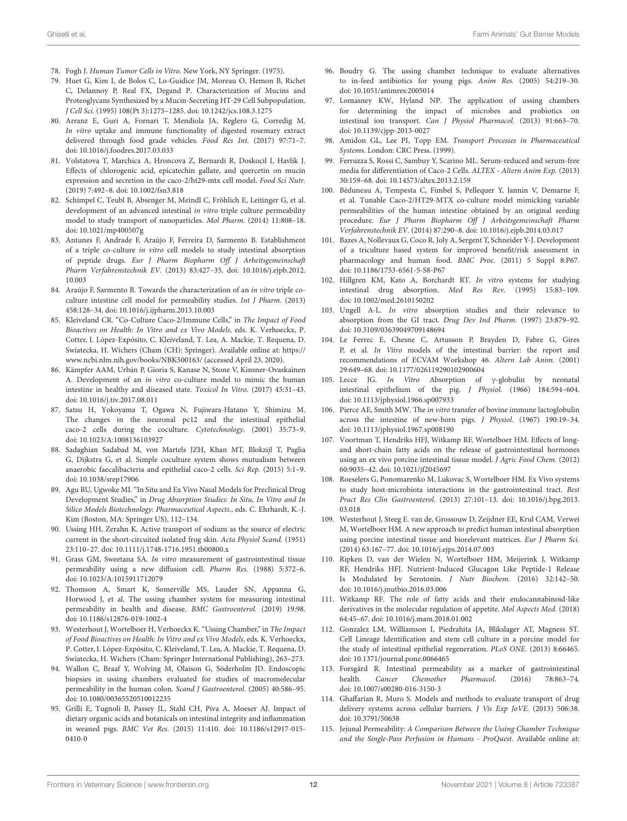- <span id="page-11-0"></span>78. Fogh J. Human Tumor Cells in Vitro. New York, NY Springer. (1975).
- <span id="page-11-1"></span>79. Huet G, Kim I, de Bolos C, Lo-Guidice JM, Moreau O, Hemon B, Richet C, Delannoy P, Real FX, Degand P. Characterization of Mucins and Proteoglycans Synthesized by a Mucin-Secreting HT-29 Cell Subpopulation. J Cell Sci. (1995) 108(Pt 3):1275–1285. doi: [10.1242/jcs.108.3.1275](https://doi.org/10.1242/jcs.108.3.1275)
- <span id="page-11-2"></span>80. Arranz E, Guri A, Fornari T, Mendiola JA, Reglero G, Corredig M. In vitro uptake and immune functionality of digested rosemary extract delivered through food grade vehicles. Food Res Int. (2017) 97:71–7. doi: [10.1016/j.foodres.2017.03.033](https://doi.org/10.1016/j.foodres.2017.03.033)
- <span id="page-11-3"></span>81. Volstatova T, Marchica A, Hroncova Z, Bernardi R, Doskocil I, Havlik J. Effects of chlorogenic acid, epicatechin gallate, and quercetin on mucin expression and secretion in the caco-2/ht29-mtx cell model. Food Sci Nutr. (2019) 7:492–8. doi: [10.1002/fsn3.818](https://doi.org/10.1002/fsn3.818)
- <span id="page-11-4"></span>82. Schimpel C, Teubl B, Absenger M, Meindl C, Fröhlich E, Leitinger G, et al. development of an advanced intestinal in vitro triple culture permeability model to study transport of nanoparticles. Mol Pharm. (2014) 11:808–18. doi: [10.1021/mp400507g](https://doi.org/10.1021/mp400507g)
- <span id="page-11-5"></span>83. Antunes F, Andrade F, Araújo F, Ferreira D, Sarmento B. Establishment of a triple co-culture in vitro cell models to study intestinal absorption of peptide drugs. Eur J Pharm Biopharm Off J Arbeitsgemeinschaft Pharm Verfahrenstechnik EV. [\(2013\) 83:427–35. doi: 10.1016/j.ejpb.2012.](https://doi.org/10.1016/j.ejpb.2012.10.003) 10.003
- <span id="page-11-6"></span>84. Araújo F, Sarmento B. Towards the characterization of an in vitro triple coculture intestine cell model for permeability studies. Int J Pharm. (2013) 458:128–34. doi: [10.1016/j.ijpharm.2013.10.003](https://doi.org/10.1016/j.ijpharm.2013.10.003)
- <span id="page-11-7"></span>85. Kleiveland CR. "Co-Culture Caco-2/Immune Cells," in The Impact of Food Bioactives on Health: In Vitro and ex Vivo Models, eds. K. Verhoeckx, P. Cotter, I. López-Expósito, C. Kleiveland, T. Lea, A. Mackie, T. Requena, D. Swiatecka, H. Wichers (Cham (CH): Springer). Available online at: [https://](https://www.ncbi.nlm.nih.gov/books/NBK500163/) [www.ncbi.nlm.nih.gov/books/NBK500163/](https://www.ncbi.nlm.nih.gov/books/NBK500163/) (accessed April 23, 2020).
- <span id="page-11-8"></span>86. Kämpfer AAM, Urbán P, Gioria S, Kanase N, Stone V, Kinsner-Ovaskainen A. Development of an in vitro co-culture model to mimic the human intestine in healthy and diseased state. Toxicol In Vitro. (2017) 45:31–43. doi: [10.1016/j.tiv.2017.08.011](https://doi.org/10.1016/j.tiv.2017.08.011)
- <span id="page-11-9"></span>87. Satsu H, Yokoyama T, Ogawa N, Fujiwara-Hatano Y, Shimizu M. The changes in the neuronal pc12 and the intestinal epithelial caco-2 cells during the coculture. Cytotechnology. (2001) 35:73–9. doi: [10.1023/A:1008136103927](https://doi.org/10.1023/A:1008136103927)
- <span id="page-11-10"></span>88. Sadaghian Sadabad M, von Martels JZH, Khan MT, Blokzijl T, Paglia G, Dijkstra G, et al. Simple coculture system shows mutualism between anaerobic faecalibacteria and epithelial caco-2 cells. Sci Rep. (2015) 5:1–9. doi: [10.1038/srep17906](https://doi.org/10.1038/srep17906)
- <span id="page-11-11"></span>89. Agu RU, Ugwoke MI. "In Situ and Ex Vivo Nasal Models for Preclinical Drug Development Studies," in Drug Absorption Studies: In Situ, In Vitro and In Silico Models Biotechnology: Pharmaceutical Aspects., eds. C. Ehrhardt, K.-J. Kim (Boston, MA: Springer US), 112–134.
- <span id="page-11-12"></span>90. Ussing HH, Zerahn K. Active transport of sodium as the source of electric current in the short-circuited isolated frog skin. Acta Physiol Scand. (1951) 23:110–27. doi: [10.1111/j.1748-1716.1951.tb00800.x](https://doi.org/10.1111/j.1748-1716.1951.tb00800.x)
- <span id="page-11-13"></span>91. Grass GM, Sweetana SA. In vitro measurement of gastrointestinal tissue permeability using a new diffusion cell. Pharm Res. (1988) 5:372–6. doi: [10.1023/A:1015911712079](https://doi.org/10.1023/A:1015911712079)
- <span id="page-11-14"></span>92. Thomson A, Smart K, Somerville MS, Lauder SN, Appanna G, Horwood J, et al. The ussing chamber system for measuring intestinal permeability in health and disease. BMC Gastroenterol. (2019) 19:98. doi: [10.1186/s12876-019-1002-4](https://doi.org/10.1186/s12876-019-1002-4)
- <span id="page-11-15"></span>93. Westerhout J, Wortelboer H, Verhoeckx K. "Ussing Chamber," in The Impact of Food Bioactives on Health: In Vitro and ex Vivo Models, eds. K. Verhoeckx, P. Cotter, I. López-Expósito, C. Kleiveland, T. Lea, A. Mackie, T. Requena, D. Swiatecka, H. Wichers (Cham: Springer International Publishing), 263–273.
- <span id="page-11-16"></span>94. Wallon C, Braaf Y, Wolving M, Olaison G, Söderholm JD. Endoscopic biopsies in ussing chambers evaluated for studies of macromolecular permeability in the human colon. Scand J Gastroenterol. (2005) 40:586–95. doi: [10.1080/00365520510012235](https://doi.org/10.1080/00365520510012235)
- <span id="page-11-17"></span>95. Grilli E, Tugnoli B, Passey JL, Stahl CH, Piva A, Moeser AJ. Impact of dietary organic acids and botanicals on intestinal integrity and inflammation in weaned pigs. BMC Vet Res. [\(2015\) 11:410. doi: 10.1186/s12917-015-](https://doi.org/10.1186/s12917-015-0410-0) 0410-0
- <span id="page-11-18"></span>96. Boudry G. The ussing chamber technique to evaluate alternatives to in-feed antibiotics for young pigs. Anim Res. (2005) 54:219–30. doi: [10.1051/animres:2005014](https://doi.org/10.1051/animres:2005014)
- <span id="page-11-19"></span>97. Lomasney KW, Hyland NP. The application of ussing chambers for determining the impact of microbes and probiotics on intestinal ion transport. Can J Physiol Pharmacol. (2013) 91:663–70. doi: [10.1139/cjpp-2013-0027](https://doi.org/10.1139/cjpp-2013-0027)
- <span id="page-11-22"></span>98. Amidon GL, Lee PI, Topp EM. Transport Processes in Pharmaceutical Systems. London: CRC Press. (1999).
- <span id="page-11-23"></span>99. Ferruzza S, Rossi C, Sambuy Y, Scarino ML. Serum-reduced and serum-free media for differentiation of Caco-2 Cells. ALTEX - Altern Anim Exp. (2013) 30:159–68. doi: [10.14573/altex.2013.2.159](https://doi.org/10.14573/altex.2013.2.159)
- <span id="page-11-24"></span>100. Béduneau A, Tempesta C, Fimbel S, Pellequer Y, Jannin V, Demarne F, et al. Tunable Caco-2/HT29-MTX co-culture model mimicking variable permeabilities of the human intestine obtained by an original seeding procedure. Eur J Pharm Biopharm Off J Arbeitsgemeinschaft Pharm Verfahrenstechnik EV. (2014) 87:290–8. doi: [10.1016/j.ejpb.2014.03.017](https://doi.org/10.1016/j.ejpb.2014.03.017)
- <span id="page-11-25"></span>101. Bazes A, Nollevaux G, Coco R, Joly A, Sergent T, Schneider Y-J. Development of a triculture based system for improved benefit/risk assessment in pharmacology and human food. BMC Proc. (2011) 5 Suppl 8:P67. doi: [10.1186/1753-6561-5-S8-P67](https://doi.org/10.1186/1753-6561-5-S8-P67)
- <span id="page-11-20"></span>102. Hillgren KM, Kato A, Borchardt RT. In vitro systems for studying intestinal drug absorption. Med Res Rev. (1995) 15:83–109. doi: [10.1002/med.2610150202](https://doi.org/10.1002/med.2610150202)
- <span id="page-11-21"></span>103. Ungell A-L. In vitro absorption studies and their relevance to absorption from the GI tract. Drug Dev Ind Pharm. (1997) 23:879–92. doi: [10.3109/03639049709148694](https://doi.org/10.3109/03639049709148694)
- <span id="page-11-26"></span>104. Le Ferrec E, Chesne C, Artusson P, Brayden D, Fabre G, Gires P, et al. In Vitro models of the intestinal barrier: the report and recommendations of ECVAM Workshop 46. Altern Lab Anim. (2001) 29:649–68. doi: [10.1177/026119290102900604](https://doi.org/10.1177/026119290102900604)
- <span id="page-11-27"></span>105. Lecce JG. In Vitro Absorption of γ-globulin by neonatal intestinal epithelium of the pig. J Physiol. (1966) 184:594–604. doi: [10.1113/jphysiol.1966.sp007933](https://doi.org/10.1113/jphysiol.1966.sp007933)
- <span id="page-11-28"></span>106. Pierce AE, Smith MW. The in vitro transfer of bovine immune lactoglobulin across the intestine of new-born pigs. J Physiol. (1967) 190:19–34. doi: [10.1113/jphysiol.1967.sp008190](https://doi.org/10.1113/jphysiol.1967.sp008190)
- <span id="page-11-29"></span>107. Voortman T, Hendriks HFJ, Witkamp RF, Wortelboer HM. Effects of longand short-chain fatty acids on the release of gastrointestinal hormones using an ex vivo porcine intestinal tissue model. J Agric Food Chem. (2012) 60:9035–42. doi: [10.1021/jf2045697](https://doi.org/10.1021/jf2045697)
- <span id="page-11-30"></span>108. Roeselers G, Ponomarenko M, Lukovac S, Wortelboer HM. Ex Vivo systems to study host-microbiota interactions in the gastrointestinal tract. Best Pract Res Clin Gastroenterol. [\(2013\) 27:101–13. doi: 10.1016/j.bpg.2013.](https://doi.org/10.1016/j.bpg.2013.03.018) 03.018
- <span id="page-11-31"></span>109. Westerhout J, Steeg E. van de, Grossouw D, Zeijdner EE, Krul CAM, Verwei M, Wortelboer HM. A new approach to predict human intestinal absorption using porcine intestinal tissue and biorelevant matrices. Eur J Pharm Sci. (2014) 63:167–77. doi: [10.1016/j.ejps.2014.07.003](https://doi.org/10.1016/j.ejps.2014.07.003)
- <span id="page-11-32"></span>110. Ripken D, van der Wielen N, Wortelboer HM, Meijerink J, Witkamp RF, Hendriks HFJ. Nutrient-Induced Glucagon Like Peptide-1 Release Is Modulated by Serotonin. J Nutr Biochem. (2016) 32:142–50. doi: [10.1016/j.jnutbio.2016.03.006](https://doi.org/10.1016/j.jnutbio.2016.03.006)
- <span id="page-11-33"></span>111. Witkamp RF. The role of fatty acids and their endocannabinoid-like derivatives in the molecular regulation of appetite. Mol Aspects Med. (2018) 64:45–67. doi: [10.1016/j.mam.2018.01.002](https://doi.org/10.1016/j.mam.2018.01.002)
- <span id="page-11-34"></span>112. Gonzalez LM, Williamson I, Piedrahita JA, Blikslager AT, Magness ST. Cell Lineage Identification and stem cell culture in a porcine model for the study of intestinal epithelial regeneration. PLoS ONE. (2013) 8:66465. doi: [10.1371/journal.pone.0066465](https://doi.org/10.1371/journal.pone.0066465)
- <span id="page-11-35"></span>113. Forsgård R. Intestinal permeability as a marker of gastrointestinal health. Cancer Chemother Pharmacol. (2016) 78:863–74. doi: [10.1007/s00280-016-3150-3](https://doi.org/10.1007/s00280-016-3150-3)
- <span id="page-11-36"></span>114. Ghaffarian R, Muro S. Models and methods to evaluate transport of drug delivery systems across cellular barriers. J Vis Exp JoVE. (2013) 506:38. doi: [10.3791/50638](https://doi.org/10.3791/50638)
- <span id="page-11-37"></span>115. Jejunal Permeability: A Comparison Between the Ussing Chamber Technique and the Single-Pass Perfusion in Humans - ProQuest. Available online at: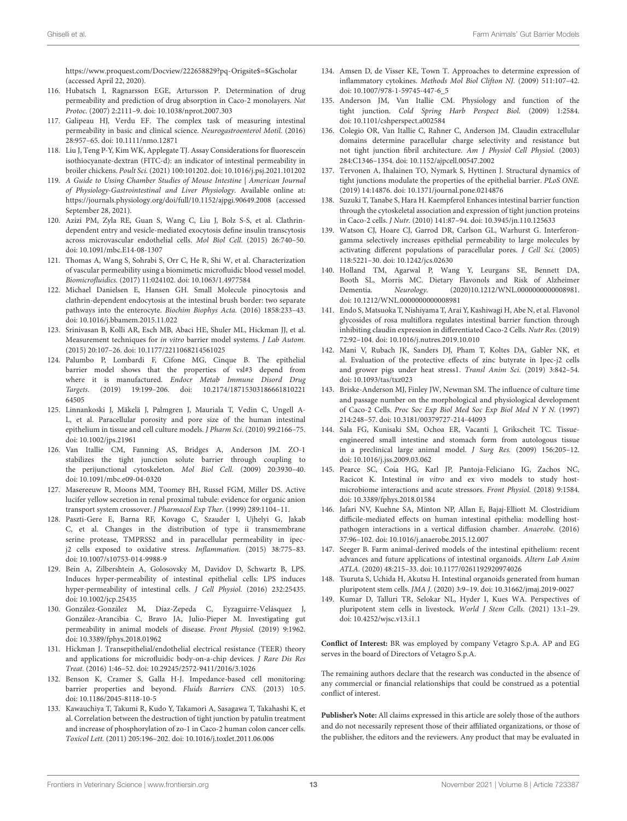[https://www.proquest.com/Docview/222658829?pq-Origsite\\$=\\$Gscholar](https://www.proquest.com/Docview/222658829?pq-Origsite$=$Gscholar) (accessed April 22, 2020).

- <span id="page-12-0"></span>116. Hubatsch I, Ragnarsson EGE, Artursson P. Determination of drug permeability and prediction of drug absorption in Caco-2 monolayers. Nat Protoc. (2007) 2:2111–9. doi: [10.1038/nprot.2007.303](https://doi.org/10.1038/nprot.2007.303)
- <span id="page-12-1"></span>117. Galipeau HJ, Verdu EF. The complex task of measuring intestinal permeability in basic and clinical science. Neurogastroenterol Motil. (2016) 28:957–65. doi: [10.1111/nmo.12871](https://doi.org/10.1111/nmo.12871)
- <span id="page-12-2"></span>118. Liu J, Teng P-Y, Kim WK, Applegate TJ. Assay Considerations for fluorescein isothiocyanate-dextran (FITC-d): an indicator of intestinal permeability in broiler chickens. Poult Sci. (2021) 100:101202. doi: [10.1016/j.psj.2021.101202](https://doi.org/10.1016/j.psj.2021.101202)
- <span id="page-12-3"></span>119. A Guide to Ussing Chamber Studies of Mouse Intestine | American Journal of Physiology-Gastrointestinal and Liver Physiology. Available online at: <https://journals.physiology.org/doi/full/10.1152/ajpgi.90649.2008> (accessed September 28, 2021).
- <span id="page-12-4"></span>120. Azizi PM, Zyla RE, Guan S, Wang C, Liu J, Bolz S-S, et al. Clathrindependent entry and vesicle-mediated exocytosis define insulin transcytosis across microvascular endothelial cells. Mol Biol Cell. (2015) 26:740–50. doi: [10.1091/mbc.E14-08-1307](https://doi.org/10.1091/mbc.E14-08-1307)
- <span id="page-12-5"></span>121. Thomas A, Wang S, Sohrabi S, Orr C, He R, Shi W, et al. Characterization of vascular permeability using a biomimetic microfluidic blood vessel model. Biomicrofluidics. (2017) 11:024102. doi: [10.1063/1.4977584](https://doi.org/10.1063/1.4977584)
- <span id="page-12-6"></span>122. Michael Danielsen E, Hansen GH. Small Molecule pinocytosis and clathrin-dependent endocytosis at the intestinal brush border: two separate pathways into the enterocyte. Biochim Biophys Acta. (2016) 1858:233–43. doi: [10.1016/j.bbamem.2015.11.022](https://doi.org/10.1016/j.bbamem.2015.11.022)
- <span id="page-12-7"></span>123. Srinivasan B, Kolli AR, Esch MB, Abaci HE, Shuler ML, Hickman JJ, et al. Measurement techniques for in vitro barrier model systems. J Lab Autom. (2015) 20:107–26. doi: [10.1177/2211068214561025](https://doi.org/10.1177/2211068214561025)
- <span id="page-12-8"></span>124. Palumbo P, Lombardi F, Cifone MG, Cinque B. The epithelial barrier model shows that the properties of vsl#3 depend from where it is manufactured. Endocr Metab Immune Disord Drug Targets. [\(2019\) 19:199–206. doi: 10.2174/18715303186661810221](https://doi.org/10.2174/1871530318666181022164505) 64505
- <span id="page-12-9"></span>125. Linnankoski J, Mäkelä J, Palmgren J, Mauriala T, Vedin C, Ungell A-L, et al. Paracellular porosity and pore size of the human intestinal epithelium in tissue and cell culture models. J Pharm Sci. (2010) 99:2166–75. doi: [10.1002/jps.21961](https://doi.org/10.1002/jps.21961)
- <span id="page-12-10"></span>126. Van Itallie CM, Fanning AS, Bridges A, Anderson JM. ZO-1 stabilizes the tight junction solute barrier through coupling to the perijunctional cytoskeleton. Mol Biol Cell. (2009) 20:3930–40. doi: [10.1091/mbc.e09-04-0320](https://doi.org/10.1091/mbc.e09-04-0320)
- <span id="page-12-11"></span>127. Masereeuw R, Moons MM, Toomey BH, Russel FGM, Miller DS. Active lucifer yellow secretion in renal proximal tubule: evidence for organic anion transport system crossover. J Pharmacol Exp Ther. (1999) 289:1104–11.
- <span id="page-12-12"></span>128. Paszti-Gere E, Barna RF, Kovago C, Szauder I, Ujhelyi G, Jakab C, et al. Changes in the distribution of type ii transmembrane serine protease, TMPRSS2 and in paracellular permeability in ipecj2 cells exposed to oxidative stress. Inflammation. (2015) 38:775–83. doi: [10.1007/s10753-014-9988-9](https://doi.org/10.1007/s10753-014-9988-9)
- <span id="page-12-13"></span>129. Bein A, Zilbershtein A, Golosovsky M, Davidov D, Schwartz B, LPS. Induces hyper-permeability of intestinal epithelial cells: LPS induces hyper-permeability of intestinal cells. J Cell Physiol. (2016) 232:25435. doi: [10.1002/jcp.25435](https://doi.org/10.1002/jcp.25435)
- <span id="page-12-14"></span>130. González-González M, Díaz-Zepeda C, Eyzaguirre-Velásquez J, González-Arancibia C, Bravo JA, Julio-Pieper M. Investigating gut permeability in animal models of disease. Front Physiol. (2019) 9:1962. doi: [10.3389/fphys.2018.01962](https://doi.org/10.3389/fphys.2018.01962)
- <span id="page-12-15"></span>131. Hickman J. Transepithelial/endothelial electrical resistance (TEER) theory and applications for microfluidic body-on-a-chip devices. J Rare Dis Res Treat. (2016) 1:46–52. doi: [10.29245/2572-9411/2016/3.1026](https://doi.org/10.29245/2572-9411/2016/3.1026)
- <span id="page-12-16"></span>132. Benson K, Cramer S, Galla H-J. Impedance-based cell monitoring: barrier properties and beyond. Fluids Barriers CNS. (2013) 10:5. doi: [10.1186/2045-8118-10-5](https://doi.org/10.1186/2045-8118-10-5)
- <span id="page-12-17"></span>133. Kawauchiya T, Takumi R, Kudo Y, Takamori A, Sasagawa T, Takahashi K, et al. Correlation between the destruction of tight junction by patulin treatment and increase of phosphorylation of zo-1 in Caco-2 human colon cancer cells. Toxicol Lett. (2011) 205:196–202. doi: [10.1016/j.toxlet.2011.06.006](https://doi.org/10.1016/j.toxlet.2011.06.006)
- <span id="page-12-18"></span>134. Amsen D, de Visser KE, Town T. Approaches to determine expression of inflammatory cytokines. Methods Mol Biol Clifton NJ. (2009) 511:107–42. doi: [10.1007/978-1-59745-447-6\\_5](https://doi.org/10.1007/978-1-59745-447-6_5)
- <span id="page-12-19"></span>135. Anderson JM, Van Itallie CM. Physiology and function of the tight junction. Cold Spring Harb Perspect Biol. (2009) 1:2584. doi: [10.1101/cshperspect.a002584](https://doi.org/10.1101/cshperspect.a002584)
- <span id="page-12-20"></span>136. Colegio OR, Van Itallie C, Rahner C, Anderson JM. Claudin extracellular domains determine paracellular charge selectivity and resistance but not tight junction fibril architecture. Am J Physiol Cell Physiol. (2003) 284:C1346–1354. doi: [10.1152/ajpcell.00547.2002](https://doi.org/10.1152/ajpcell.00547.2002)
- <span id="page-12-21"></span>137. Tervonen A, Ihalainen TO, Nymark S, Hyttinen J. Structural dynamics of tight junctions modulate the properties of the epithelial barrier. PLoS ONE. (2019) 14:14876. doi: [10.1371/journal.pone.0214876](https://doi.org/10.1371/journal.pone.0214876)
- <span id="page-12-22"></span>138. Suzuki T, Tanabe S, Hara H. Kaempferol Enhances intestinal barrier function through the cytoskeletal association and expression of tight junction proteins in Caco-2 cells. J Nutr. (2010) 141:87–94. doi: [10.3945/jn.110.125633](https://doi.org/10.3945/jn.110.125633)
- <span id="page-12-23"></span>139. Watson CJ, Hoare CJ, Garrod DR, Carlson GL, Warhurst G. Interferongamma selectively increases epithelial permeability to large molecules by activating different populations of paracellular pores. J Cell Sci. (2005) 118:5221–30. doi: [10.1242/jcs.02630](https://doi.org/10.1242/jcs.02630)
- <span id="page-12-24"></span>140. Holland TM, Agarwal P, Wang Y, Leurgans SE, Bennett DA, Booth SL, Morris MC. Dietary Flavonols and Risk of Alzheimer Dementia. Neurology. (2020)10.1212/WNL.0000000000008981. doi: [10.1212/WNL.0000000000008981](https://doi.org/10.1212/WNL.0000000000008981)
- <span id="page-12-25"></span>141. Endo S, Matsuoka T, Nishiyama T, Arai Y, Kashiwagi H, Abe N, et al. Flavonol glycosides of rosa multiflora regulates intestinal barrier function through inhibiting claudin expression in differentiated Caco-2 Cells. Nutr Res. (2019) 72:92–104. doi: [10.1016/j.nutres.2019.10.010](https://doi.org/10.1016/j.nutres.2019.10.010)
- <span id="page-12-26"></span>142. Mani V, Rubach JK, Sanders DJ, Pham T, Koltes DA, Gabler NK, et al. Evaluation of the protective effects of zinc butyrate in Ipec-j2 cells and grower pigs under heat stress1. Transl Anim Sci. (2019) 3:842–54. doi: [10.1093/tas/txz023](https://doi.org/10.1093/tas/txz023)
- <span id="page-12-27"></span>143. Briske-Anderson MJ, Finley JW, Newman SM. The influence of culture time and passage number on the morphological and physiological development of Caco-2 Cells. Proc Soc Exp Biol Med Soc Exp Biol Med N Y N. (1997) 214:248–57. doi: [10.3181/00379727-214-44093](https://doi.org/10.3181/00379727-214-44093)
- <span id="page-12-28"></span>144. Sala FG, Kunisaki SM, Ochoa ER, Vacanti J, Grikscheit TC. Tissueengineered small intestine and stomach form from autologous tissue in a preclinical large animal model. J Surg Res. (2009) 156:205–12. doi: [10.1016/j.jss.2009.03.062](https://doi.org/10.1016/j.jss.2009.03.062)
- <span id="page-12-29"></span>145. Pearce SC, Coia HG, Karl JP, Pantoja-Feliciano IG, Zachos NC, Racicot K. Intestinal in vitro and ex vivo models to study hostmicrobiome interactions and acute stressors. Front Physiol. (2018) 9:1584. doi: [10.3389/fphys.2018.01584](https://doi.org/10.3389/fphys.2018.01584)
- <span id="page-12-30"></span>146. Jafari NV, Kuehne SA, Minton NP, Allan E, Bajaj-Elliott M. Clostridium difficile-mediated effects on human intestinal epithelia: modelling hostpathogen interactions in a vertical diffusion chamber. Anaerobe. (2016) 37:96–102. doi: [10.1016/j.anaerobe.2015.12.007](https://doi.org/10.1016/j.anaerobe.2015.12.007)
- <span id="page-12-31"></span>147. Seeger B. Farm animal-derived models of the intestinal epithelium: recent advances and future applications of intestinal organoids. Altern Lab Anim ATLA. (2020) 48:215–33. doi: [10.1177/0261192920974026](https://doi.org/10.1177/0261192920974026)
- <span id="page-12-32"></span>148. Tsuruta S, Uchida H, Akutsu H. Intestinal organoids generated from human pluripotent stem cells. JMA J. (2020) 3:9–19. doi: [10.31662/jmaj.2019-0027](https://doi.org/10.31662/jmaj.2019-0027)
- <span id="page-12-33"></span>149. Kumar D, Talluri TR, Selokar NL, Hyder I, Kues WA. Perspectives of pluripotent stem cells in livestock. World J Stem Cells. (2021) 13:1–29. doi: [10.4252/wjsc.v13.i1.1](https://doi.org/10.4252/wjsc.v13.i1.1)

**Conflict of Interest:** BR was employed by company Vetagro S.p.A. AP and EG serves in the board of Directors of Vetagro S.p.A.

The remaining authors declare that the research was conducted in the absence of any commercial or financial relationships that could be construed as a potential conflict of interest.

**Publisher's Note:** All claims expressed in this article are solely those of the authors and do not necessarily represent those of their affiliated organizations, or those of the publisher, the editors and the reviewers. Any product that may be evaluated in